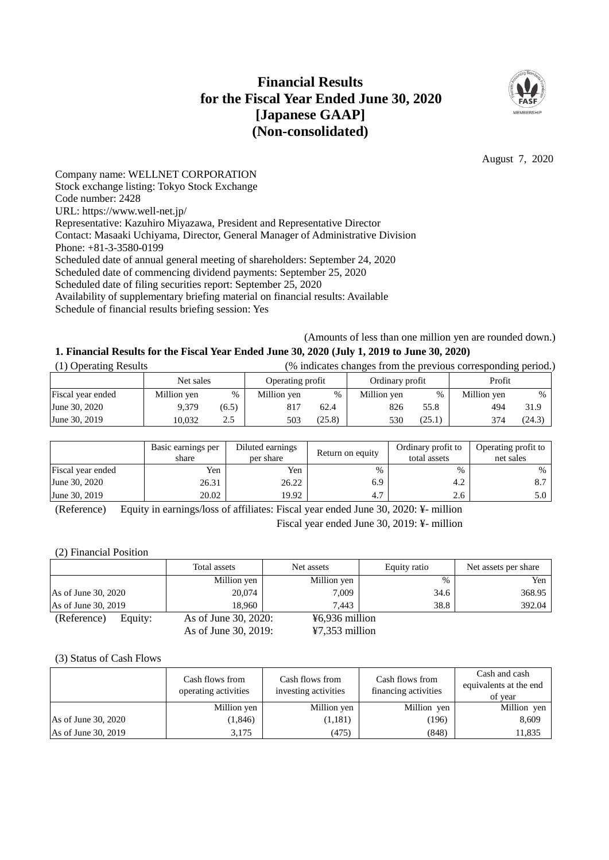# **Financial Results for the Fiscal Year Ended June 30, 2020 [Japanese GAAP] (Non-consolidated)**



August 7, 2020

Company name: WELLNET CORPORATION Stock exchange listing: Tokyo Stock Exchange Code number: 2428 URL: https://www.well-net.jp/ Representative: Kazuhiro Miyazawa, President and Representative Director Contact: Masaaki Uchiyama, Director, General Manager of Administrative Division Phone: +81-3-3580-0199 Scheduled date of annual general meeting of shareholders: September 24, 2020 Scheduled date of commencing dividend payments: September 25, 2020 Scheduled date of filing securities report: September 25, 2020 Availability of supplementary briefing material on financial results: Available Schedule of financial results briefing session: Yes

(Amounts of less than one million yen are rounded down.)

# **1. Financial Results for the Fiscal Year Ended June 30, 2020 (July 1, 2019 to June 30, 2020)**

| (1) Operating Results | (% indicates changes from the previous corresponding period.) |       |                  |        |                 |        |             |               |
|-----------------------|---------------------------------------------------------------|-------|------------------|--------|-----------------|--------|-------------|---------------|
|                       | Net sales                                                     |       | Operating profit |        | Ordinary profit |        | Profit      |               |
| Fiscal year ended     | Million yen                                                   | $\%$  | Million yen      | %      | Million yen     | %      | Million yen | $\frac{0}{0}$ |
| June 30, 2020         | 9.379                                                         | (6.5) | 817              | 62.4   | 826             | 55.8   | 494         | 31.9          |
| June 30, 2019         | 10.032                                                        | 2.5   | 503              | (25.8) | 530             | (25.1) | 374         | (24.3)        |

|                   | Basic earnings per<br>share | Diluted earnings<br>per share | Return on equity | Ordinary profit to<br>total assets | Operating profit to<br>net sales |
|-------------------|-----------------------------|-------------------------------|------------------|------------------------------------|----------------------------------|
| Fiscal year ended | Yen                         | Yen                           | $\%$             | $\%$                               | %                                |
| June 30, 2020     | 26.31                       | 26.22                         | 6.9              | 4.2                                |                                  |
| June 30, 2019     | 20.02                       | 19.92                         | 4.7              | 2.6                                | 5.0                              |

(Reference) Equity in earnings/loss of affiliates: Fiscal year ended June 30, 2020: ¥- million

Fiscal year ended June 30, 2019: ¥- million

# (2) Financial Position

|                        | Total assets         | Net assets                 | Equity ratio | Net assets per share |
|------------------------|----------------------|----------------------------|--------------|----------------------|
|                        | Million yen          | Million yen                | $\%$         | Yen                  |
| As of June 30, 2020    | 20,074               | 7.009                      | 34.6         | 368.95               |
| As of June 30, 2019    | 18.960               | 7.443                      | 38.8         | 392.04               |
| (Reference)<br>Equity: | As of June 30, 2020: | $\frac{1}{2}6.936$ million |              |                      |
|                        | As of June 30, 2019: | $\frac{1}{2}$ ,353 million |              |                      |

#### (3) Status of Cash Flows

|                     | Cash flows from<br>operating activities | Cash flows from<br>investing activities | Cash flows from<br>financing activities | Cash and cash<br>equivalents at the end<br>of year |
|---------------------|-----------------------------------------|-----------------------------------------|-----------------------------------------|----------------------------------------------------|
|                     | Million yen                             | Million yen                             | Million yen                             | Million yen                                        |
| As of June 30, 2020 | (1,846)                                 | (1,181)                                 | (196)                                   | 8,609                                              |
| As of June 30, 2019 | 3,175                                   | (475)                                   | (848)                                   | 11,835                                             |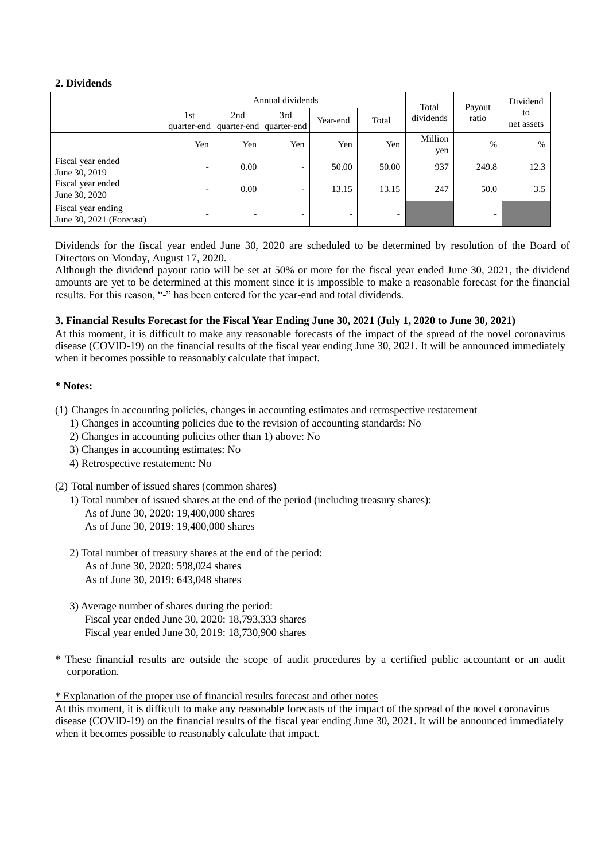# **2. Dividends**

|                                                |                          |                                         | Annual dividends         | Total                    | Payout | Dividend       |       |            |
|------------------------------------------------|--------------------------|-----------------------------------------|--------------------------|--------------------------|--------|----------------|-------|------------|
|                                                | 1st                      | 2nd                                     | 3rd                      | Year-end                 | Total  | dividends      | ratio | to         |
|                                                |                          | quarter-end   quarter-end   quarter-end |                          |                          |        |                |       | net assets |
|                                                | Yen                      | Yen                                     | Yen                      | Yen                      | Yen    | Million<br>yen | $\%$  | $\%$       |
| Fiscal year ended<br>June 30, 2019             | $\overline{\phantom{0}}$ | 0.00                                    | $\overline{\phantom{0}}$ | 50.00                    | 50.00  | 937            | 249.8 | 12.3       |
| Fiscal year ended<br>June 30, 2020             | $\overline{\phantom{0}}$ | 0.00                                    | $\overline{\phantom{a}}$ | 13.15                    | 13.15  | 247            | 50.0  | 3.5        |
| Fiscal year ending<br>June 30, 2021 (Forecast) | $\overline{\phantom{0}}$ | -                                       | $\overline{\phantom{0}}$ | $\overline{\phantom{0}}$ | -      |                | -     |            |

Dividends for the fiscal year ended June 30, 2020 are scheduled to be determined by resolution of the Board of Directors on Monday, August 17, 2020.

Although the dividend payout ratio will be set at 50% or more for the fiscal year ended June 30, 2021, the dividend amounts are yet to be determined at this moment since it is impossible to make a reasonable forecast for the financial results. For this reason, "-" has been entered for the year-end and total dividends.

# **3. Financial Results Forecast for the Fiscal Year Ending June 30, 2021 (July 1, 2020 to June 30, 2021)**

At this moment, it is difficult to make any reasonable forecasts of the impact of the spread of the novel coronavirus disease (COVID-19) on the financial results of the fiscal year ending June 30, 2021. It will be announced immediately when it becomes possible to reasonably calculate that impact.

# **\* Notes:**

- (1) Changes in accounting policies, changes in accounting estimates and retrospective restatement
	- 1) Changes in accounting policies due to the revision of accounting standards: No
	- 2) Changes in accounting policies other than 1) above: No
	- 3) Changes in accounting estimates: No
	- 4) Retrospective restatement: No
- (2) Total number of issued shares (common shares)

1) Total number of issued shares at the end of the period (including treasury shares):

- As of June 30, 2020: 19,400,000 shares
- As of June 30, 2019: 19,400,000 shares
- 2) Total number of treasury shares at the end of the period: As of June 30, 2020: 598,024 shares As of June 30, 2019: 643,048 shares
- 3) Average number of shares during the period: Fiscal year ended June 30, 2020: 18,793,333 shares Fiscal year ended June 30, 2019: 18,730,900 shares
- \* These financial results are outside the scope of audit procedures by a certified public accountant or an audit corporation.

\* Explanation of the proper use of financial results forecast and other notes

At this moment, it is difficult to make any reasonable forecasts of the impact of the spread of the novel coronavirus disease (COVID-19) on the financial results of the fiscal year ending June 30, 2021. It will be announced immediately when it becomes possible to reasonably calculate that impact.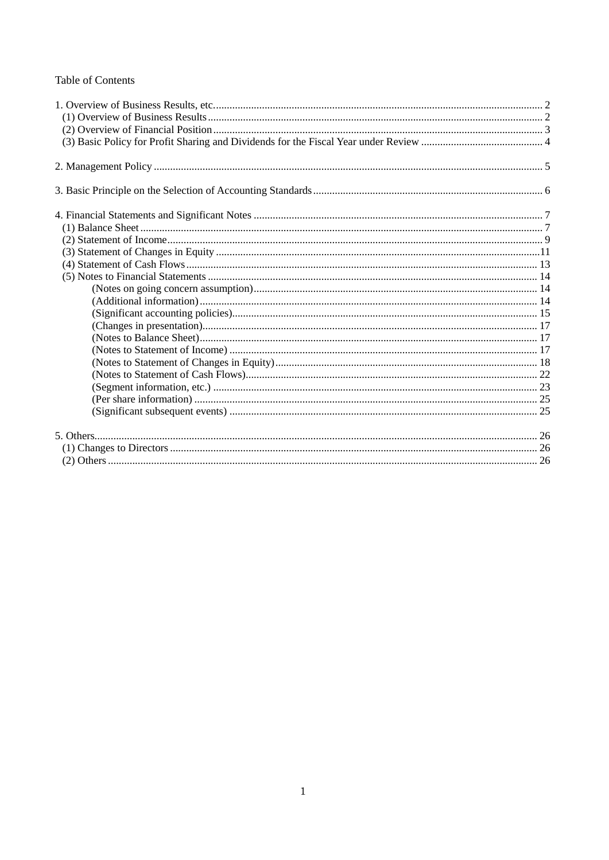# **Table of Contents**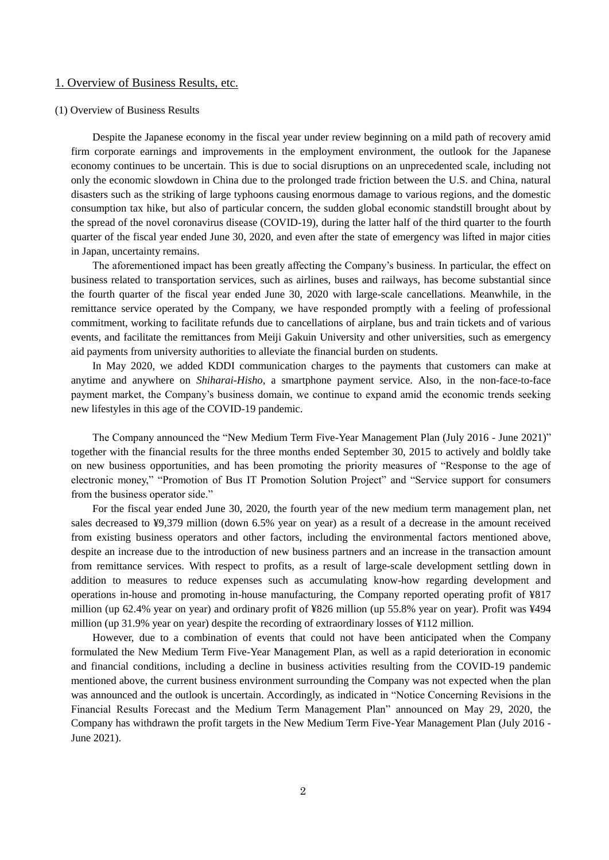# <span id="page-3-0"></span>1. Overview of Business Results, etc.

## <span id="page-3-1"></span>(1) Overview of Business Results

Despite the Japanese economy in the fiscal year under review beginning on a mild path of recovery amid firm corporate earnings and improvements in the employment environment, the outlook for the Japanese economy continues to be uncertain. This is due to social disruptions on an unprecedented scale, including not only the economic slowdown in China due to the prolonged trade friction between the U.S. and China, natural disasters such as the striking of large typhoons causing enormous damage to various regions, and the domestic consumption tax hike, but also of particular concern, the sudden global economic standstill brought about by the spread of the novel coronavirus disease (COVID-19), during the latter half of the third quarter to the fourth quarter of the fiscal year ended June 30, 2020, and even after the state of emergency was lifted in major cities in Japan, uncertainty remains.

The aforementioned impact has been greatly affecting the Company's business. In particular, the effect on business related to transportation services, such as airlines, buses and railways, has become substantial since the fourth quarter of the fiscal year ended June 30, 2020 with large-scale cancellations. Meanwhile, in the remittance service operated by the Company, we have responded promptly with a feeling of professional commitment, working to facilitate refunds due to cancellations of airplane, bus and train tickets and of various events, and facilitate the remittances from Meiji Gakuin University and other universities, such as emergency aid payments from university authorities to alleviate the financial burden on students.

In May 2020, we added KDDI communication charges to the payments that customers can make at anytime and anywhere on *Shiharai-Hisho*, a smartphone payment service. Also, in the non-face-to-face payment market, the Company's business domain, we continue to expand amid the economic trends seeking new lifestyles in this age of the COVID-19 pandemic.

The Company announced the "New Medium Term Five-Year Management Plan (July 2016 - June 2021)" together with the financial results for the three months ended September 30, 2015 to actively and boldly take on new business opportunities, and has been promoting the priority measures of "Response to the age of electronic money," "Promotion of Bus IT Promotion Solution Project" and "Service support for consumers from the business operator side."

For the fiscal year ended June 30, 2020, the fourth year of the new medium term management plan, net sales decreased to ¥9,379 million (down 6.5% year on year) as a result of a decrease in the amount received from existing business operators and other factors, including the environmental factors mentioned above, despite an increase due to the introduction of new business partners and an increase in the transaction amount from remittance services. With respect to profits, as a result of large-scale development settling down in addition to measures to reduce expenses such as accumulating know-how regarding development and operations in-house and promoting in-house manufacturing, the Company reported operating profit of ¥817 million (up 62.4% year on year) and ordinary profit of ¥826 million (up 55.8% year on year). Profit was ¥494 million (up 31.9% year on year) despite the recording of extraordinary losses of ¥112 million.

However, due to a combination of events that could not have been anticipated when the Company formulated the New Medium Term Five-Year Management Plan, as well as a rapid deterioration in economic and financial conditions, including a decline in business activities resulting from the COVID-19 pandemic mentioned above, the current business environment surrounding the Company was not expected when the plan was announced and the outlook is uncertain. Accordingly, as indicated in "Notice Concerning Revisions in the Financial Results Forecast and the Medium Term Management Plan" announced on May 29, 2020, the Company has withdrawn the profit targets in the New Medium Term Five-Year Management Plan (July 2016 - June 2021).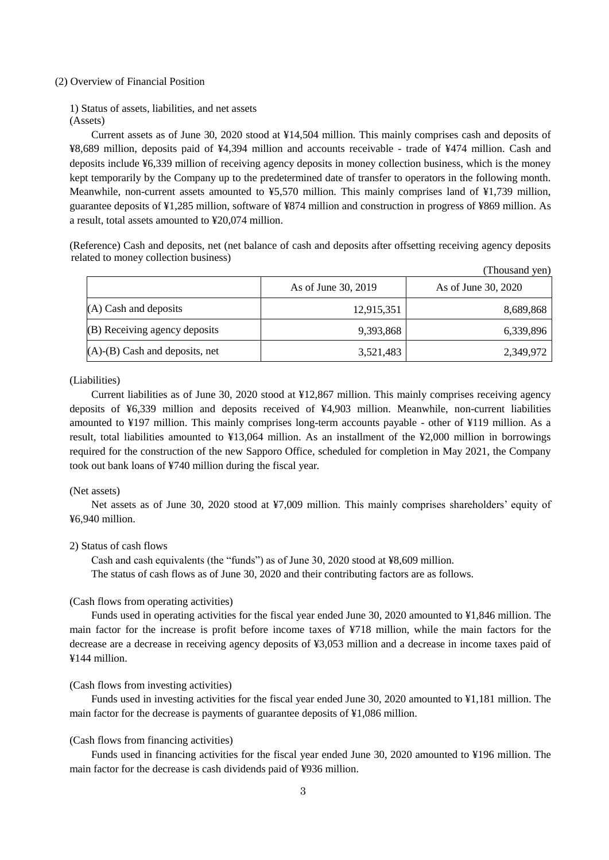## <span id="page-4-0"></span>(2) Overview of Financial Position

1) Status of assets, liabilities, and net assets (Assets)

Current assets as of June 30, 2020 stood at ¥14,504 million. This mainly comprises cash and deposits of ¥8,689 million, deposits paid of ¥4,394 million and accounts receivable - trade of ¥474 million. Cash and deposits include ¥6,339 million of receiving agency deposits in money collection business, which is the money kept temporarily by the Company up to the predetermined date of transfer to operators in the following month. Meanwhile, non-current assets amounted to ¥5,570 million. This mainly comprises land of ¥1,739 million, guarantee deposits of ¥1,285 million, software of ¥874 million and construction in progress of ¥869 million. As a result, total assets amounted to ¥20,074 million.

(Reference) Cash and deposits, net (net balance of cash and deposits after offsetting receiving agency deposits related to money collection business)  $(T<sub>T</sub>)$   $T<sub>T</sub>$   $T<sub>T</sub>$ 

|                                      |                     | (Thousand yen)      |
|--------------------------------------|---------------------|---------------------|
|                                      | As of June 30, 2019 | As of June 30, 2020 |
| $(A)$ Cash and deposits              | 12,915,351          | 8,689,868           |
| (B) Receiving agency deposits        | 9,393,868           | 6,339,896           |
| $(A)$ - $(B)$ Cash and deposits, net | 3,521,483           | 2,349,972           |

(Liabilities)

Current liabilities as of June 30, 2020 stood at ¥12,867 million. This mainly comprises receiving agency deposits of ¥6,339 million and deposits received of ¥4,903 million. Meanwhile, non-current liabilities amounted to ¥197 million. This mainly comprises long-term accounts payable - other of ¥119 million. As a result, total liabilities amounted to ¥13,064 million. As an installment of the ¥2,000 million in borrowings required for the construction of the new Sapporo Office, scheduled for completion in May 2021, the Company took out bank loans of ¥740 million during the fiscal year.

# (Net assets)

Net assets as of June 30, 2020 stood at ¥7,009 million. This mainly comprises shareholders' equity of ¥6,940 million.

# 2) Status of cash flows

Cash and cash equivalents (the "funds") as of June 30, 2020 stood at ¥8,609 million. The status of cash flows as of June 30, 2020 and their contributing factors are as follows.

#### (Cash flows from operating activities)

Funds used in operating activities for the fiscal year ended June 30, 2020 amounted to ¥1,846 million. The main factor for the increase is profit before income taxes of ¥718 million, while the main factors for the decrease are a decrease in receiving agency deposits of ¥3,053 million and a decrease in income taxes paid of ¥144 million.

#### (Cash flows from investing activities)

Funds used in investing activities for the fiscal year ended June 30, 2020 amounted to ¥1,181 million. The main factor for the decrease is payments of guarantee deposits of ¥1,086 million.

#### (Cash flows from financing activities)

Funds used in financing activities for the fiscal year ended June 30, 2020 amounted to ¥196 million. The main factor for the decrease is cash dividends paid of ¥936 million.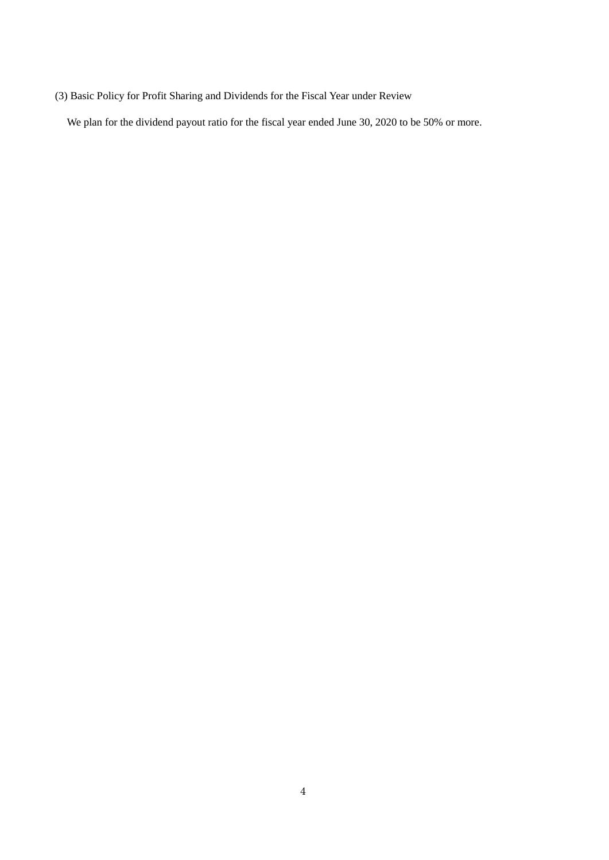<span id="page-5-0"></span>(3) Basic Policy for Profit Sharing and Dividends for the Fiscal Year under Review

We plan for the dividend payout ratio for the fiscal year ended June 30, 2020 to be 50% or more.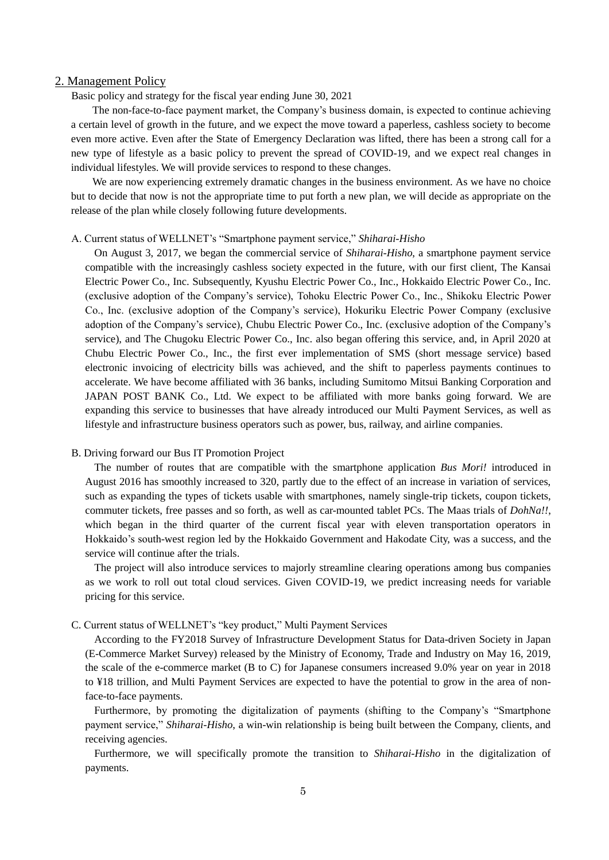## <span id="page-6-0"></span>2. Management Policy

Basic policy and strategy for the fiscal year ending June 30, 2021

The non-face-to-face payment market, the Company's business domain, is expected to continue achieving a certain level of growth in the future, and we expect the move toward a paperless, cashless society to become even more active. Even after the State of Emergency Declaration was lifted, there has been a strong call for a new type of lifestyle as a basic policy to prevent the spread of COVID-19, and we expect real changes in individual lifestyles. We will provide services to respond to these changes.

We are now experiencing extremely dramatic changes in the business environment. As we have no choice but to decide that now is not the appropriate time to put forth a new plan, we will decide as appropriate on the release of the plan while closely following future developments.

#### A. Current status of WELLNET's "Smartphone payment service," *Shiharai-Hisho*

On August 3, 2017, we began the commercial service of *Shiharai-Hisho*, a smartphone payment service compatible with the increasingly cashless society expected in the future, with our first client, The Kansai Electric Power Co., Inc. Subsequently, Kyushu Electric Power Co., Inc., Hokkaido Electric Power Co., Inc. (exclusive adoption of the Company's service), Tohoku Electric Power Co., Inc., Shikoku Electric Power Co., Inc. (exclusive adoption of the Company's service), Hokuriku Electric Power Company (exclusive adoption of the Company's service), Chubu Electric Power Co., Inc. (exclusive adoption of the Company's service), and The Chugoku Electric Power Co., Inc. also began offering this service, and, in April 2020 at Chubu Electric Power Co., Inc., the first ever implementation of SMS (short message service) based electronic invoicing of electricity bills was achieved, and the shift to paperless payments continues to accelerate. We have become affiliated with 36 banks, including Sumitomo Mitsui Banking Corporation and JAPAN POST BANK Co., Ltd. We expect to be affiliated with more banks going forward. We are expanding this service to businesses that have already introduced our Multi Payment Services, as well as lifestyle and infrastructure business operators such as power, bus, railway, and airline companies.

## B. Driving forward our Bus IT Promotion Project

The number of routes that are compatible with the smartphone application *Bus Mori!* introduced in August 2016 has smoothly increased to 320, partly due to the effect of an increase in variation of services, such as expanding the types of tickets usable with smartphones, namely single-trip tickets, coupon tickets, commuter tickets, free passes and so forth, as well as car-mounted tablet PCs. The Maas trials of *DohNa!!*, which began in the third quarter of the current fiscal year with eleven transportation operators in Hokkaido's south-west region led by the Hokkaido Government and Hakodate City, was a success, and the service will continue after the trials.

The project will also introduce services to majorly streamline clearing operations among bus companies as we work to roll out total cloud services. Given COVID-19, we predict increasing needs for variable pricing for this service.

## C. Current status of WELLNET's "key product," Multi Payment Services

According to the FY2018 Survey of Infrastructure Development Status for Data-driven Society in Japan (E-Commerce Market Survey) released by the Ministry of Economy, Trade and Industry on May 16, 2019, the scale of the e-commerce market (B to C) for Japanese consumers increased 9.0% year on year in 2018 to ¥18 trillion, and Multi Payment Services are expected to have the potential to grow in the area of nonface-to-face payments.

Furthermore, by promoting the digitalization of payments (shifting to the Company's "Smartphone payment service," *Shiharai-Hisho*, a win-win relationship is being built between the Company, clients, and receiving agencies.

Furthermore, we will specifically promote the transition to *Shiharai-Hisho* in the digitalization of payments.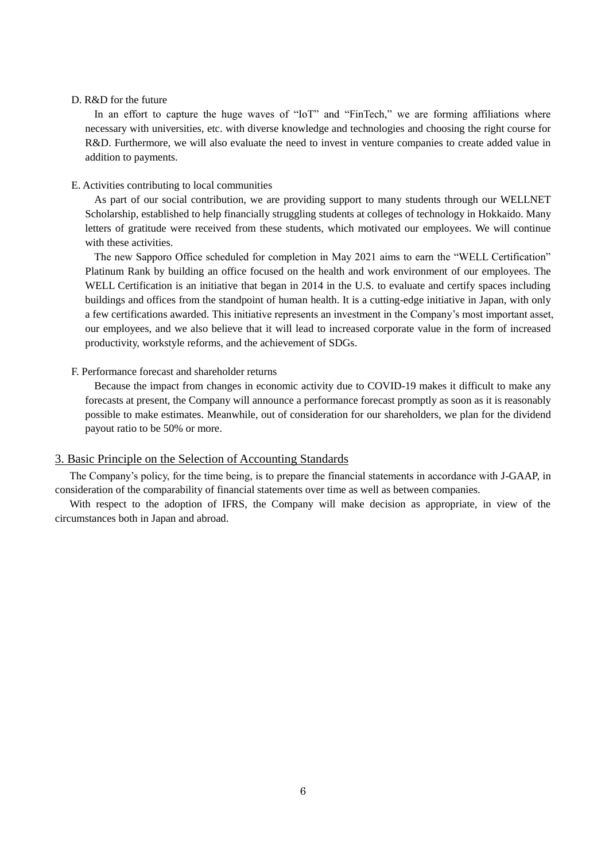#### D. R&D for the future

In an effort to capture the huge waves of "IoT" and "FinTech," we are forming affiliations where necessary with universities, etc. with diverse knowledge and technologies and choosing the right course for R&D. Furthermore, we will also evaluate the need to invest in venture companies to create added value in addition to payments.

## E. Activities contributing to local communities

As part of our social contribution, we are providing support to many students through our WELLNET Scholarship, established to help financially struggling students at colleges of technology in Hokkaido. Many letters of gratitude were received from these students, which motivated our employees. We will continue with these activities.

The new Sapporo Office scheduled for completion in May 2021 aims to earn the "WELL Certification" Platinum Rank by building an office focused on the health and work environment of our employees. The WELL Certification is an initiative that began in 2014 in the U.S. to evaluate and certify spaces including buildings and offices from the standpoint of human health. It is a cutting-edge initiative in Japan, with only a few certifications awarded. This initiative represents an investment in the Company's most important asset, our employees, and we also believe that it will lead to increased corporate value in the form of increased productivity, workstyle reforms, and the achievement of SDGs.

#### F. Performance forecast and shareholder returns

Because the impact from changes in economic activity due to COVID-19 makes it difficult to make any forecasts at present, the Company will announce a performance forecast promptly as soon as it is reasonably possible to make estimates. Meanwhile, out of consideration for our shareholders, we plan for the dividend payout ratio to be 50% or more.

# <span id="page-7-0"></span>3. Basic Principle on the Selection of Accounting Standards

The Company's policy, for the time being, is to prepare the financial statements in accordance with J-GAAP, in consideration of the comparability of financial statements over time as well as between companies.

With respect to the adoption of IFRS, the Company will make decision as appropriate, in view of the circumstances both in Japan and abroad.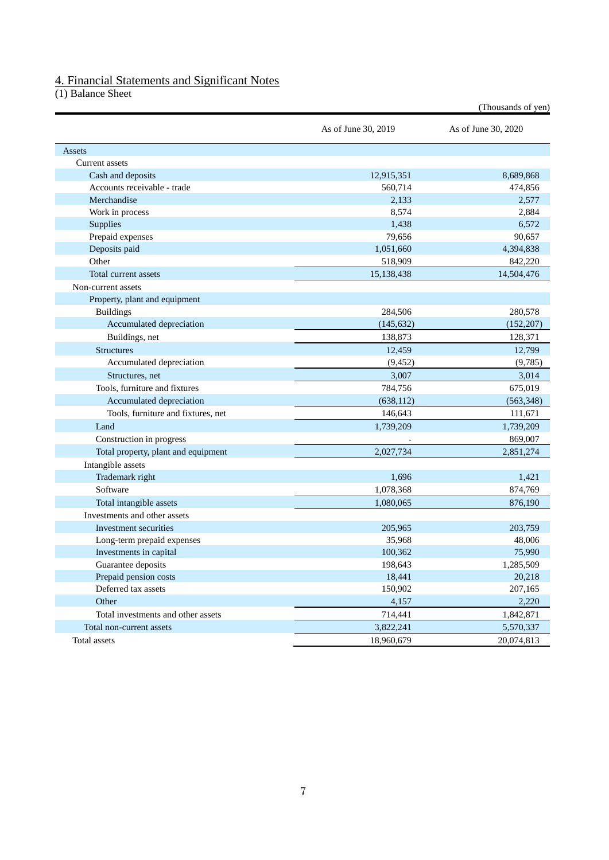# <span id="page-8-0"></span>4. Financial Statements and Significant Notes

<span id="page-8-1"></span>(1) Balance Sheet

|                                     | As of June 30, 2019 | As of June 30, 2020 |
|-------------------------------------|---------------------|---------------------|
| Assets                              |                     |                     |
| Current assets                      |                     |                     |
| Cash and deposits                   | 12,915,351          | 8,689,868           |
| Accounts receivable - trade         | 560,714             | 474,856             |
| Merchandise                         | 2,133               | 2,577               |
| Work in process                     | 8,574               | 2,884               |
| Supplies                            | 1,438               | 6,572               |
| Prepaid expenses                    | 79,656              | 90,657              |
| Deposits paid                       | 1,051,660           | 4,394,838           |
| Other                               | 518,909             | 842,220             |
| Total current assets                | 15,138,438          | 14,504,476          |
| Non-current assets                  |                     |                     |
| Property, plant and equipment       |                     |                     |
| <b>Buildings</b>                    | 284,506             | 280,578             |
| Accumulated depreciation            | (145, 632)          | (152, 207)          |
| Buildings, net                      | 138,873             | 128,371             |
| <b>Structures</b>                   | 12,459              | 12,799              |
| Accumulated depreciation            | (9, 452)            | (9,785)             |
| Structures, net                     | 3,007               | 3,014               |
| Tools, furniture and fixtures       | 784,756             | 675,019             |
| Accumulated depreciation            | (638, 112)          | (563,348)           |
| Tools, furniture and fixtures, net  | 146,643             | 111,671             |
| Land                                | 1,739,209           | 1,739,209           |
| Construction in progress            |                     | 869,007             |
| Total property, plant and equipment | 2,027,734           | 2,851,274           |
| Intangible assets                   |                     |                     |
| Trademark right                     | 1,696               | 1,421               |
| Software                            | 1,078,368           | 874,769             |
| Total intangible assets             | 1,080,065           | 876,190             |
| Investments and other assets        |                     |                     |
| Investment securities               | 205,965             | 203,759             |
| Long-term prepaid expenses          | 35,968              | 48,006              |
| Investments in capital              | 100,362             | 75,990              |
| Guarantee deposits                  | 198,643             | 1,285,509           |
| Prepaid pension costs               | 18,441              | 20,218              |
| Deferred tax assets                 | 150,902             | 207,165             |
| Other                               | 4,157               | 2,220               |
| Total investments and other assets  | 714,441             | 1,842,871           |
| Total non-current assets            | 3,822,241           | 5,570,337           |
| Total assets                        | 18,960,679          | 20,074,813          |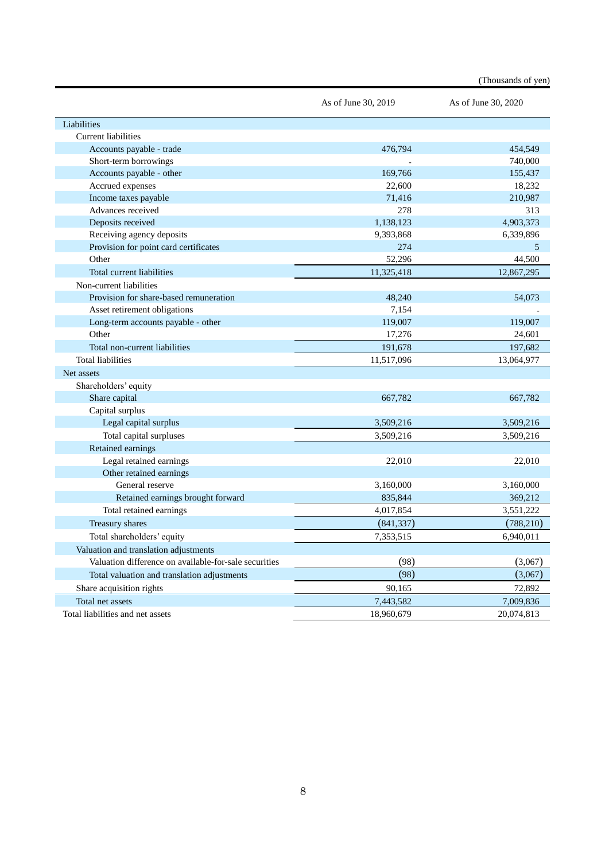|                                                       |                     | (Thousands of yen)  |
|-------------------------------------------------------|---------------------|---------------------|
|                                                       | As of June 30, 2019 | As of June 30, 2020 |
| Liabilities                                           |                     |                     |
| <b>Current liabilities</b>                            |                     |                     |
| Accounts payable - trade                              | 476,794             | 454,549             |
| Short-term borrowings                                 |                     | 740,000             |
| Accounts payable - other                              | 169,766             | 155,437             |
| Accrued expenses                                      | 22,600              | 18,232              |
| Income taxes payable                                  | 71,416              | 210,987             |
| Advances received                                     | 278                 | 313                 |
| Deposits received                                     | 1,138,123           | 4,903,373           |
| Receiving agency deposits                             | 9,393,868           | 6,339,896           |
| Provision for point card certificates                 | 274                 | 5                   |
| Other                                                 | 52,296              | 44,500              |
| Total current liabilities                             | 11,325,418          | 12,867,295          |
| Non-current liabilities                               |                     |                     |
| Provision for share-based remuneration                | 48,240              | 54,073              |
| Asset retirement obligations                          | 7,154               |                     |
| Long-term accounts payable - other                    | 119,007             | 119,007             |
| Other                                                 | 17,276              | 24,601              |
| Total non-current liabilities                         | 191,678             | 197,682             |
| <b>Total liabilities</b>                              | 11,517,096          | 13,064,977          |
| Net assets                                            |                     |                     |
| Shareholders' equity                                  |                     |                     |
| Share capital                                         | 667,782             | 667,782             |
| Capital surplus                                       |                     |                     |
| Legal capital surplus                                 | 3,509,216           | 3,509,216           |
| Total capital surpluses                               | 3,509,216           | 3,509,216           |
| Retained earnings                                     |                     |                     |
| Legal retained earnings                               | 22,010              | 22,010              |
| Other retained earnings                               |                     |                     |
| General reserve                                       | 3,160,000           | 3,160,000           |
| Retained earnings brought forward                     | 835,844             | 369,212             |
| Total retained earnings                               | 4,017,854           | 3,551,222           |
| Treasury shares                                       | (841, 337)          | (788, 210)          |
| Total shareholders' equity                            | 7,353,515           | 6,940,011           |
| Valuation and translation adjustments                 |                     |                     |
| Valuation difference on available-for-sale securities | (98)                | (3,067)             |
| Total valuation and translation adjustments           | (98)                | (3,067)             |
| Share acquisition rights                              | 90,165              | 72,892              |
| Total net assets                                      | 7,443,582           | 7,009,836           |
| Total liabilities and net assets                      | 18,960,679          | 20,074,813          |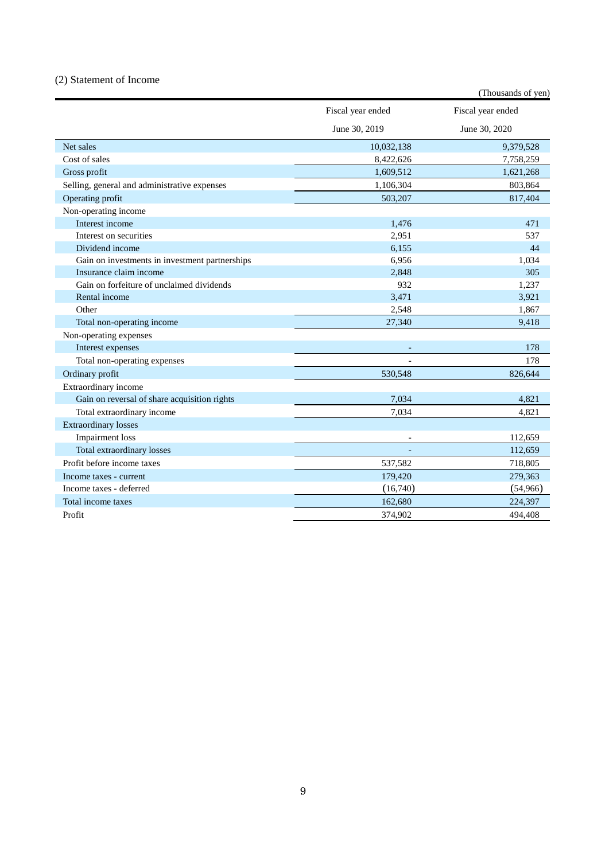# <span id="page-10-0"></span>(2) Statement of Income

|                                                |                   | (Thousands of yen) |
|------------------------------------------------|-------------------|--------------------|
|                                                | Fiscal year ended | Fiscal year ended  |
|                                                | June 30, 2019     | June 30, 2020      |
| Net sales                                      | 10,032,138        | 9,379,528          |
| Cost of sales                                  | 8,422,626         | 7,758,259          |
| Gross profit                                   | 1,609,512         | 1,621,268          |
| Selling, general and administrative expenses   | 1,106,304         | 803,864            |
| Operating profit                               | 503,207           | 817,404            |
| Non-operating income                           |                   |                    |
| Interest income                                | 1,476             | 471                |
| Interest on securities                         | 2,951             | 537                |
| Dividend income                                | 6,155             | 44                 |
| Gain on investments in investment partnerships | 6,956             | 1,034              |
| Insurance claim income                         | 2,848             | 305                |
| Gain on forfeiture of unclaimed dividends      | 932               | 1,237              |
| Rental income                                  | 3,471             | 3,921              |
| Other                                          | 2,548             | 1,867              |
| Total non-operating income                     | 27,340            | 9,418              |
| Non-operating expenses                         |                   |                    |
| Interest expenses                              |                   | 178                |
| Total non-operating expenses                   |                   | 178                |
| Ordinary profit                                | 530,548           | 826,644            |
| Extraordinary income                           |                   |                    |
| Gain on reversal of share acquisition rights   | 7,034             | 4,821              |
| Total extraordinary income                     | 7.034             | 4,821              |
| <b>Extraordinary losses</b>                    |                   |                    |
| <b>Impairment</b> loss                         |                   | 112,659            |
| Total extraordinary losses                     |                   | 112,659            |
| Profit before income taxes                     | 537,582           | 718,805            |
| Income taxes - current                         | 179,420           | 279,363            |
| Income taxes - deferred                        | (16,740)          | (54,966)           |
| Total income taxes                             | 162,680           | 224,397            |
| Profit                                         | 374,902           | 494,408            |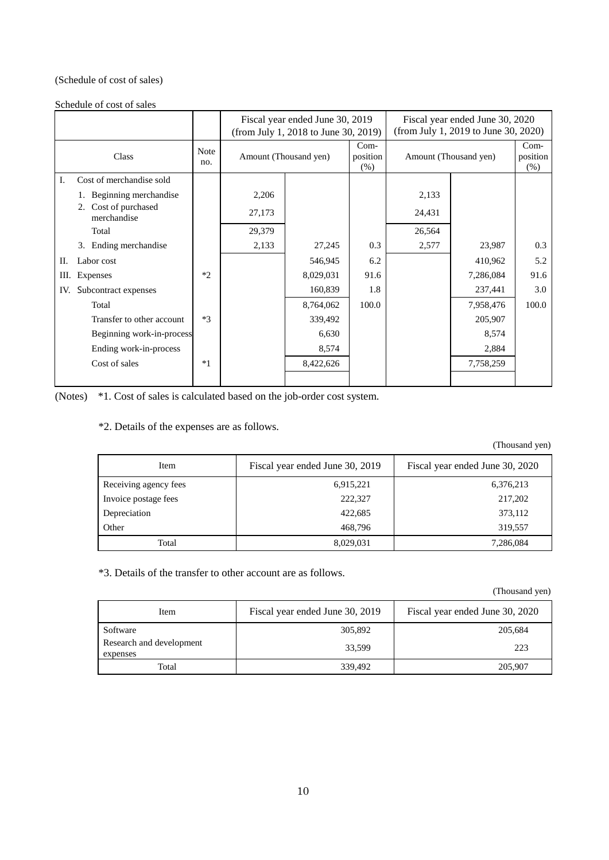# (Schedule of cost of sales)

Schedule of cost of sales

|     |                                        |                    | Fiscal year ended June 30, 2019<br>(from July 1, 2018 to June 30, 2019) |                       |                          |        | Fiscal year ended June 30, 2020<br>(from July 1, 2019 to June 30, 2020) |                            |
|-----|----------------------------------------|--------------------|-------------------------------------------------------------------------|-----------------------|--------------------------|--------|-------------------------------------------------------------------------|----------------------------|
|     | Class                                  | <b>Note</b><br>no. |                                                                         | Amount (Thousand yen) | Com-<br>position<br>(% ) |        | Amount (Thousand yen)                                                   | $Com-$<br>position<br>(% ) |
| I.  | Cost of merchandise sold               |                    |                                                                         |                       |                          |        |                                                                         |                            |
|     | Beginning merchandise                  |                    | 2,206                                                                   |                       |                          | 2,133  |                                                                         |                            |
|     | Cost of purchased<br>2.<br>merchandise |                    | 27,173                                                                  |                       |                          | 24,431 |                                                                         |                            |
|     | Total                                  |                    | 29,379                                                                  |                       |                          | 26,564 |                                                                         |                            |
|     | 3. Ending merchandise                  |                    | 2,133                                                                   | 27,245                | 0.3                      | 2,577  | 23,987                                                                  | 0.3                        |
| П.  | Labor cost                             |                    |                                                                         | 546,945               | 6.2                      |        | 410,962                                                                 | 5.2                        |
| Ш.  | Expenses                               | $*2$               |                                                                         | 8,029,031             | 91.6                     |        | 7,286,084                                                               | 91.6                       |
| IV. | Subcontract expenses                   |                    |                                                                         | 160,839               | 1.8                      |        | 237,441                                                                 | 3.0                        |
|     | Total                                  |                    |                                                                         | 8,764,062             | 100.0                    |        | 7,958,476                                                               | 100.0                      |
|     | Transfer to other account              | $*3$               |                                                                         | 339,492               |                          |        | 205,907                                                                 |                            |
|     | Beginning work-in-process              |                    |                                                                         | 6,630                 |                          |        | 8,574                                                                   |                            |
|     | Ending work-in-process                 |                    |                                                                         | 8,574                 |                          |        | 2,884                                                                   |                            |
|     | Cost of sales                          | $*1$               |                                                                         | 8,422,626             |                          |        | 7,758,259                                                               |                            |
|     |                                        |                    |                                                                         |                       |                          |        |                                                                         |                            |

(Notes) \*1. Cost of sales is calculated based on the job-order cost system.

\*2. Details of the expenses are as follows.

(Thousand yen)

| Item                  | Fiscal year ended June 30, 2019 | Fiscal year ended June 30, 2020 |
|-----------------------|---------------------------------|---------------------------------|
| Receiving agency fees | 6,915,221                       | 6,376,213                       |
| Invoice postage fees  | 222,327                         | 217,202                         |
| Depreciation          | 422,685                         | 373,112                         |
| Other                 | 468,796                         | 319,557                         |
| Total                 | 8,029,031                       | 7,286,084                       |

\*3. Details of the transfer to other account are as follows.

(Thousand yen)

| Item                                 | Fiscal year ended June 30, 2019 | Fiscal year ended June 30, 2020 |
|--------------------------------------|---------------------------------|---------------------------------|
| Software                             | 305,892                         | 205.684                         |
| Research and development<br>expenses | 33.599                          | 223                             |
| Total                                | 339,492                         | 205,907                         |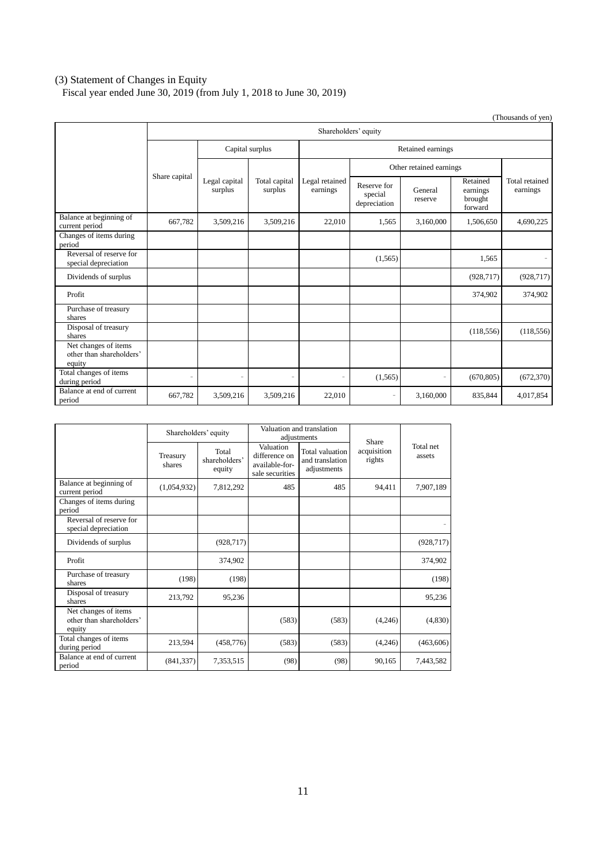## <span id="page-12-0"></span>(3) Statement of Changes in Equity

Fiscal year ended June 30, 2019 (from July 1, 2018 to June 30, 2019)

|                                                            |               |                                     |               |                            |                                        |                         |                                            | (Thousands of yen)         |  |
|------------------------------------------------------------|---------------|-------------------------------------|---------------|----------------------------|----------------------------------------|-------------------------|--------------------------------------------|----------------------------|--|
|                                                            |               | Shareholders' equity                |               |                            |                                        |                         |                                            |                            |  |
|                                                            |               | Capital surplus                     |               |                            | Retained earnings                      |                         |                                            |                            |  |
|                                                            | Share capital |                                     |               |                            |                                        | Other retained earnings |                                            |                            |  |
|                                                            |               | Legal capital<br>surplus<br>surplus | Total capital | Legal retained<br>earnings | Reserve for<br>special<br>depreciation | General<br>reserve      | Retained<br>earnings<br>brought<br>forward | Total retained<br>earnings |  |
| Balance at beginning of<br>current period                  | 667,782       | 3,509,216                           | 3,509,216     | 22,010                     | 1,565                                  | 3,160,000               | 1,506,650                                  | 4,690,225                  |  |
| Changes of items during<br>period                          |               |                                     |               |                            |                                        |                         |                                            |                            |  |
| Reversal of reserve for<br>special depreciation            |               |                                     |               |                            | (1, 565)                               |                         | 1,565                                      |                            |  |
| Dividends of surplus                                       |               |                                     |               |                            |                                        |                         | (928, 717)                                 | (928, 717)                 |  |
| Profit                                                     |               |                                     |               |                            |                                        |                         | 374,902                                    | 374,902                    |  |
| Purchase of treasury<br>shares                             |               |                                     |               |                            |                                        |                         |                                            |                            |  |
| Disposal of treasury<br>shares                             |               |                                     |               |                            |                                        |                         | (118, 556)                                 | (118, 556)                 |  |
| Net changes of items<br>other than shareholders'<br>equity |               |                                     |               |                            |                                        |                         |                                            |                            |  |
| Total changes of items<br>during period                    | ٠             | ۰                                   | ۰             |                            | (1,565)                                | $\bar{ }$               | (670, 805)                                 | (672, 370)                 |  |
| Balance at end of current<br>period                        | 667,782       | 3,509,216                           | 3,509,216     | 22,010                     | $\overline{\phantom{a}}$               | 3,160,000               | 835,844                                    | 4,017,854                  |  |

|                                                            | Shareholders' equity |                                  |                                                                 | Valuation and translation<br>adjustments          | Share                 |                     |
|------------------------------------------------------------|----------------------|----------------------------------|-----------------------------------------------------------------|---------------------------------------------------|-----------------------|---------------------|
|                                                            | Treasury<br>shares   | Total<br>shareholders'<br>equity | Valuation<br>difference on<br>available-for-<br>sale securities | Total valuation<br>and translation<br>adjustments | acquisition<br>rights | Total net<br>assets |
| Balance at beginning of<br>current period                  | (1,054,932)          | 7,812,292                        | 485                                                             | 485                                               | 94,411                | 7,907,189           |
| Changes of items during<br>period                          |                      |                                  |                                                                 |                                                   |                       |                     |
| Reversal of reserve for<br>special depreciation            |                      |                                  |                                                                 |                                                   |                       |                     |
| Dividends of surplus                                       |                      | (928, 717)                       |                                                                 |                                                   |                       | (928, 717)          |
| Profit                                                     |                      | 374,902                          |                                                                 |                                                   |                       | 374,902             |
| Purchase of treasury<br>shares                             | (198)                | (198)                            |                                                                 |                                                   |                       | (198)               |
| Disposal of treasury<br>shares                             | 213,792              | 95,236                           |                                                                 |                                                   |                       | 95,236              |
| Net changes of items<br>other than shareholders'<br>equity |                      |                                  | (583)                                                           | (583)                                             | (4,246)               | (4,830)             |
| Total changes of items<br>during period                    | 213,594              | (458, 776)                       | (583)                                                           | (583)                                             | (4,246)               | (463,606)           |
| Balance at end of current<br>period                        | (841, 337)           | 7,353,515                        | (98)                                                            | (98)                                              | 90,165                | 7,443,582           |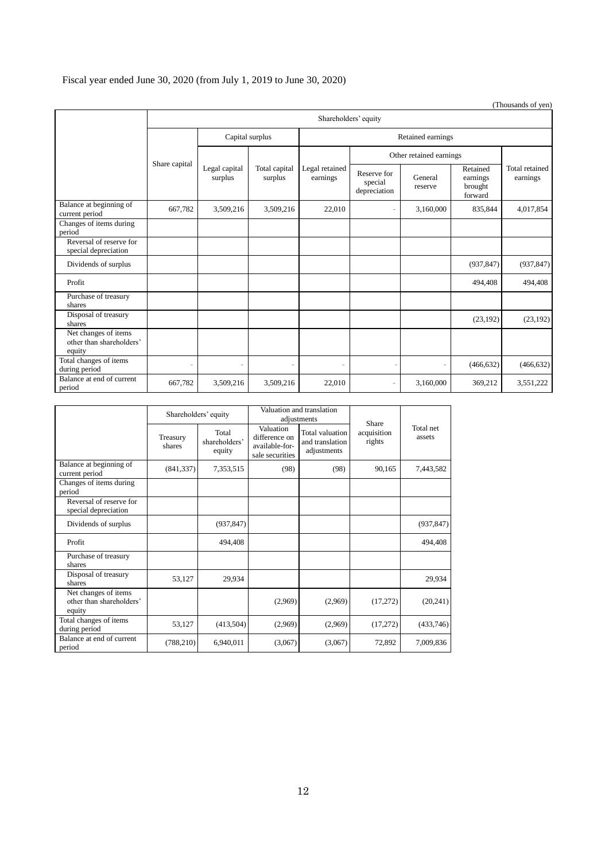# Fiscal year ended June 30, 2020 (from July 1, 2019 to June 30, 2020)

|                                                            |                          |                          |                            |                                        |                    |                                            |                            | (Thousands of yen) |  |
|------------------------------------------------------------|--------------------------|--------------------------|----------------------------|----------------------------------------|--------------------|--------------------------------------------|----------------------------|--------------------|--|
|                                                            |                          | Shareholders' equity     |                            |                                        |                    |                                            |                            |                    |  |
|                                                            |                          | Capital surplus          |                            | Retained earnings                      |                    |                                            |                            |                    |  |
|                                                            |                          |                          |                            |                                        |                    | Other retained earnings                    |                            |                    |  |
| Share capital                                              | Legal capital<br>surplus | Total capital<br>surplus | Legal retained<br>earnings | Reserve for<br>special<br>depreciation | General<br>reserve | Retained<br>earnings<br>brought<br>forward | Total retained<br>earnings |                    |  |
| Balance at beginning of<br>current period                  | 667,782                  | 3,509,216                | 3,509,216                  | 22,010                                 | ٠                  | 3,160,000                                  | 835,844                    | 4,017,854          |  |
| Changes of items during<br>period                          |                          |                          |                            |                                        |                    |                                            |                            |                    |  |
| Reversal of reserve for<br>special depreciation            |                          |                          |                            |                                        |                    |                                            |                            |                    |  |
| Dividends of surplus                                       |                          |                          |                            |                                        |                    |                                            | (937, 847)                 | (937, 847)         |  |
| Profit                                                     |                          |                          |                            |                                        |                    |                                            | 494,408                    | 494,408            |  |
| Purchase of treasury<br>shares                             |                          |                          |                            |                                        |                    |                                            |                            |                    |  |
| Disposal of treasury<br>shares                             |                          |                          |                            |                                        |                    |                                            | (23, 192)                  | (23, 192)          |  |
| Net changes of items<br>other than shareholders'<br>equity |                          |                          |                            |                                        |                    |                                            |                            |                    |  |
| Total changes of items<br>during period                    | i.                       | $\overline{a}$           | ٠                          | ٠                                      |                    | $\overline{\phantom{a}}$                   | (466, 632)                 | (466, 632)         |  |
| Balance at end of current<br>period                        | 667,782                  | 3,509,216                | 3,509,216                  | 22,010                                 |                    | 3,160,000                                  | 369,212                    | 3,551,222          |  |

|                                                            | Shareholders' equity |                                  |                                                                 | Valuation and translation<br>adjustments          | Share                 |                     |
|------------------------------------------------------------|----------------------|----------------------------------|-----------------------------------------------------------------|---------------------------------------------------|-----------------------|---------------------|
|                                                            | Treasury<br>shares   | Total<br>shareholders'<br>equity | Valuation<br>difference on<br>available-for-<br>sale securities | Total valuation<br>and translation<br>adjustments | acquisition<br>rights | Total net<br>assets |
| Balance at beginning of<br>current period                  | (841, 337)           | 7,353,515                        | (98)                                                            | (98)                                              | 90,165                | 7,443,582           |
| Changes of items during<br>period                          |                      |                                  |                                                                 |                                                   |                       |                     |
| Reversal of reserve for<br>special depreciation            |                      |                                  |                                                                 |                                                   |                       |                     |
| Dividends of surplus                                       |                      | (937, 847)                       |                                                                 |                                                   |                       | (937, 847)          |
| Profit                                                     |                      | 494,408                          |                                                                 |                                                   |                       | 494,408             |
| Purchase of treasury<br>shares                             |                      |                                  |                                                                 |                                                   |                       |                     |
| Disposal of treasury<br>shares                             | 53,127               | 29,934                           |                                                                 |                                                   |                       | 29,934              |
| Net changes of items<br>other than shareholders'<br>equity |                      |                                  | (2,969)                                                         | (2,969)                                           | (17,272)              | (20,241)            |
| Total changes of items<br>during period                    | 53,127               | (413,504)                        | (2,969)                                                         | (2,969)                                           | (17,272)              | (433,746)           |
| Balance at end of current<br>period                        | (788, 210)           | 6,940,011                        | (3,067)                                                         | (3,067)                                           | 72,892                | 7,009,836           |

12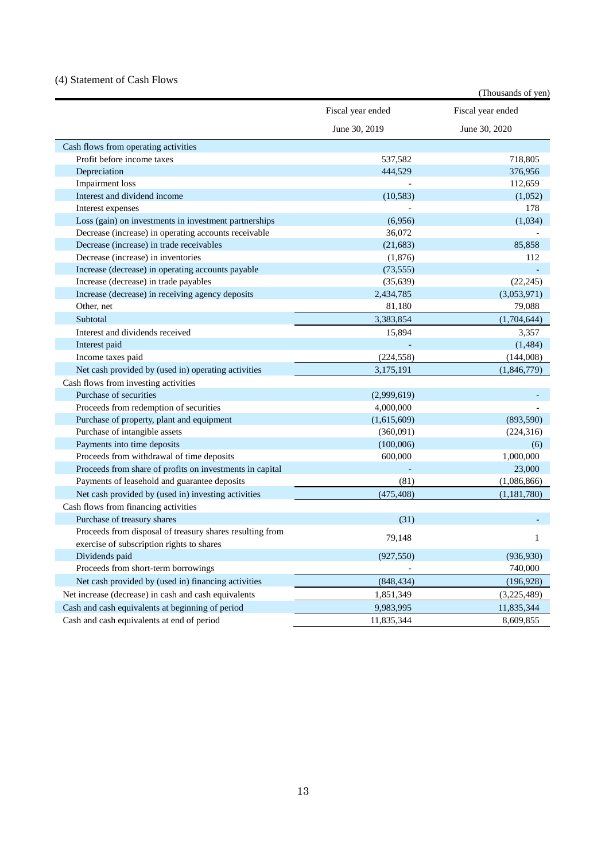# <span id="page-14-0"></span>(4) Statement of Cash Flows

| Fiscal year ended<br>Fiscal year ended<br>June 30, 2019<br>June 30, 2020<br>Cash flows from operating activities<br>Profit before income taxes<br>537,582<br>718,805<br>444,529<br>Depreciation<br>376,956<br><b>Impairment</b> loss<br>112,659<br>Interest and dividend income<br>(10, 583)<br>(1,052)<br>178<br>Interest expenses<br>Loss (gain) on investments in investment partnerships<br>(6,956)<br>(1,034)<br>Decrease (increase) in operating accounts receivable<br>36,072<br>Decrease (increase) in trade receivables<br>(21, 683)<br>85,858<br>Decrease (increase) in inventories<br>(1,876)<br>112<br>Increase (decrease) in operating accounts payable<br>(73, 555)<br>Increase (decrease) in trade payables<br>(35, 639)<br>(22, 245)<br>Increase (decrease) in receiving agency deposits<br>2,434,785<br>(3,053,971)<br>Other, net<br>81,180<br>79,088<br>3,383,854<br>Subtotal<br>(1,704,644)<br>Interest and dividends received<br>15,894<br>3,357<br>Interest paid<br>(1, 484)<br>(224, 558)<br>(144,008)<br>Income taxes paid<br>Net cash provided by (used in) operating activities<br>3,175,191<br>(1,846,779)<br>Cash flows from investing activities<br>Purchase of securities<br>(2,999,619)<br>Proceeds from redemption of securities<br>4,000,000<br>Purchase of property, plant and equipment<br>(1,615,609)<br>(893,590)<br>Purchase of intangible assets<br>(360,091)<br>(224,316)<br>Payments into time deposits<br>(100,006)<br>(6)<br>Proceeds from withdrawal of time deposits<br>1,000,000<br>600,000<br>Proceeds from share of profits on investments in capital<br>23,000<br>Payments of leasehold and guarantee deposits<br>(81)<br>(1,086,866)<br>Net cash provided by (used in) investing activities<br>(475, 408)<br>(1,181,780) |                                      | (Thousands of yen) |
|---------------------------------------------------------------------------------------------------------------------------------------------------------------------------------------------------------------------------------------------------------------------------------------------------------------------------------------------------------------------------------------------------------------------------------------------------------------------------------------------------------------------------------------------------------------------------------------------------------------------------------------------------------------------------------------------------------------------------------------------------------------------------------------------------------------------------------------------------------------------------------------------------------------------------------------------------------------------------------------------------------------------------------------------------------------------------------------------------------------------------------------------------------------------------------------------------------------------------------------------------------------------------------------------------------------------------------------------------------------------------------------------------------------------------------------------------------------------------------------------------------------------------------------------------------------------------------------------------------------------------------------------------------------------------------------------------------------------------------------------------------------------------|--------------------------------------|--------------------|
|                                                                                                                                                                                                                                                                                                                                                                                                                                                                                                                                                                                                                                                                                                                                                                                                                                                                                                                                                                                                                                                                                                                                                                                                                                                                                                                                                                                                                                                                                                                                                                                                                                                                                                                                                                           |                                      |                    |
|                                                                                                                                                                                                                                                                                                                                                                                                                                                                                                                                                                                                                                                                                                                                                                                                                                                                                                                                                                                                                                                                                                                                                                                                                                                                                                                                                                                                                                                                                                                                                                                                                                                                                                                                                                           |                                      |                    |
|                                                                                                                                                                                                                                                                                                                                                                                                                                                                                                                                                                                                                                                                                                                                                                                                                                                                                                                                                                                                                                                                                                                                                                                                                                                                                                                                                                                                                                                                                                                                                                                                                                                                                                                                                                           |                                      |                    |
|                                                                                                                                                                                                                                                                                                                                                                                                                                                                                                                                                                                                                                                                                                                                                                                                                                                                                                                                                                                                                                                                                                                                                                                                                                                                                                                                                                                                                                                                                                                                                                                                                                                                                                                                                                           |                                      |                    |
|                                                                                                                                                                                                                                                                                                                                                                                                                                                                                                                                                                                                                                                                                                                                                                                                                                                                                                                                                                                                                                                                                                                                                                                                                                                                                                                                                                                                                                                                                                                                                                                                                                                                                                                                                                           |                                      |                    |
|                                                                                                                                                                                                                                                                                                                                                                                                                                                                                                                                                                                                                                                                                                                                                                                                                                                                                                                                                                                                                                                                                                                                                                                                                                                                                                                                                                                                                                                                                                                                                                                                                                                                                                                                                                           |                                      |                    |
|                                                                                                                                                                                                                                                                                                                                                                                                                                                                                                                                                                                                                                                                                                                                                                                                                                                                                                                                                                                                                                                                                                                                                                                                                                                                                                                                                                                                                                                                                                                                                                                                                                                                                                                                                                           |                                      |                    |
|                                                                                                                                                                                                                                                                                                                                                                                                                                                                                                                                                                                                                                                                                                                                                                                                                                                                                                                                                                                                                                                                                                                                                                                                                                                                                                                                                                                                                                                                                                                                                                                                                                                                                                                                                                           |                                      |                    |
|                                                                                                                                                                                                                                                                                                                                                                                                                                                                                                                                                                                                                                                                                                                                                                                                                                                                                                                                                                                                                                                                                                                                                                                                                                                                                                                                                                                                                                                                                                                                                                                                                                                                                                                                                                           |                                      |                    |
|                                                                                                                                                                                                                                                                                                                                                                                                                                                                                                                                                                                                                                                                                                                                                                                                                                                                                                                                                                                                                                                                                                                                                                                                                                                                                                                                                                                                                                                                                                                                                                                                                                                                                                                                                                           |                                      |                    |
|                                                                                                                                                                                                                                                                                                                                                                                                                                                                                                                                                                                                                                                                                                                                                                                                                                                                                                                                                                                                                                                                                                                                                                                                                                                                                                                                                                                                                                                                                                                                                                                                                                                                                                                                                                           |                                      |                    |
|                                                                                                                                                                                                                                                                                                                                                                                                                                                                                                                                                                                                                                                                                                                                                                                                                                                                                                                                                                                                                                                                                                                                                                                                                                                                                                                                                                                                                                                                                                                                                                                                                                                                                                                                                                           |                                      |                    |
|                                                                                                                                                                                                                                                                                                                                                                                                                                                                                                                                                                                                                                                                                                                                                                                                                                                                                                                                                                                                                                                                                                                                                                                                                                                                                                                                                                                                                                                                                                                                                                                                                                                                                                                                                                           |                                      |                    |
|                                                                                                                                                                                                                                                                                                                                                                                                                                                                                                                                                                                                                                                                                                                                                                                                                                                                                                                                                                                                                                                                                                                                                                                                                                                                                                                                                                                                                                                                                                                                                                                                                                                                                                                                                                           |                                      |                    |
|                                                                                                                                                                                                                                                                                                                                                                                                                                                                                                                                                                                                                                                                                                                                                                                                                                                                                                                                                                                                                                                                                                                                                                                                                                                                                                                                                                                                                                                                                                                                                                                                                                                                                                                                                                           |                                      |                    |
|                                                                                                                                                                                                                                                                                                                                                                                                                                                                                                                                                                                                                                                                                                                                                                                                                                                                                                                                                                                                                                                                                                                                                                                                                                                                                                                                                                                                                                                                                                                                                                                                                                                                                                                                                                           |                                      |                    |
|                                                                                                                                                                                                                                                                                                                                                                                                                                                                                                                                                                                                                                                                                                                                                                                                                                                                                                                                                                                                                                                                                                                                                                                                                                                                                                                                                                                                                                                                                                                                                                                                                                                                                                                                                                           |                                      |                    |
|                                                                                                                                                                                                                                                                                                                                                                                                                                                                                                                                                                                                                                                                                                                                                                                                                                                                                                                                                                                                                                                                                                                                                                                                                                                                                                                                                                                                                                                                                                                                                                                                                                                                                                                                                                           |                                      |                    |
|                                                                                                                                                                                                                                                                                                                                                                                                                                                                                                                                                                                                                                                                                                                                                                                                                                                                                                                                                                                                                                                                                                                                                                                                                                                                                                                                                                                                                                                                                                                                                                                                                                                                                                                                                                           |                                      |                    |
|                                                                                                                                                                                                                                                                                                                                                                                                                                                                                                                                                                                                                                                                                                                                                                                                                                                                                                                                                                                                                                                                                                                                                                                                                                                                                                                                                                                                                                                                                                                                                                                                                                                                                                                                                                           |                                      |                    |
|                                                                                                                                                                                                                                                                                                                                                                                                                                                                                                                                                                                                                                                                                                                                                                                                                                                                                                                                                                                                                                                                                                                                                                                                                                                                                                                                                                                                                                                                                                                                                                                                                                                                                                                                                                           |                                      |                    |
|                                                                                                                                                                                                                                                                                                                                                                                                                                                                                                                                                                                                                                                                                                                                                                                                                                                                                                                                                                                                                                                                                                                                                                                                                                                                                                                                                                                                                                                                                                                                                                                                                                                                                                                                                                           |                                      |                    |
|                                                                                                                                                                                                                                                                                                                                                                                                                                                                                                                                                                                                                                                                                                                                                                                                                                                                                                                                                                                                                                                                                                                                                                                                                                                                                                                                                                                                                                                                                                                                                                                                                                                                                                                                                                           |                                      |                    |
|                                                                                                                                                                                                                                                                                                                                                                                                                                                                                                                                                                                                                                                                                                                                                                                                                                                                                                                                                                                                                                                                                                                                                                                                                                                                                                                                                                                                                                                                                                                                                                                                                                                                                                                                                                           |                                      |                    |
|                                                                                                                                                                                                                                                                                                                                                                                                                                                                                                                                                                                                                                                                                                                                                                                                                                                                                                                                                                                                                                                                                                                                                                                                                                                                                                                                                                                                                                                                                                                                                                                                                                                                                                                                                                           |                                      |                    |
|                                                                                                                                                                                                                                                                                                                                                                                                                                                                                                                                                                                                                                                                                                                                                                                                                                                                                                                                                                                                                                                                                                                                                                                                                                                                                                                                                                                                                                                                                                                                                                                                                                                                                                                                                                           |                                      |                    |
|                                                                                                                                                                                                                                                                                                                                                                                                                                                                                                                                                                                                                                                                                                                                                                                                                                                                                                                                                                                                                                                                                                                                                                                                                                                                                                                                                                                                                                                                                                                                                                                                                                                                                                                                                                           |                                      |                    |
|                                                                                                                                                                                                                                                                                                                                                                                                                                                                                                                                                                                                                                                                                                                                                                                                                                                                                                                                                                                                                                                                                                                                                                                                                                                                                                                                                                                                                                                                                                                                                                                                                                                                                                                                                                           |                                      |                    |
|                                                                                                                                                                                                                                                                                                                                                                                                                                                                                                                                                                                                                                                                                                                                                                                                                                                                                                                                                                                                                                                                                                                                                                                                                                                                                                                                                                                                                                                                                                                                                                                                                                                                                                                                                                           |                                      |                    |
|                                                                                                                                                                                                                                                                                                                                                                                                                                                                                                                                                                                                                                                                                                                                                                                                                                                                                                                                                                                                                                                                                                                                                                                                                                                                                                                                                                                                                                                                                                                                                                                                                                                                                                                                                                           |                                      |                    |
|                                                                                                                                                                                                                                                                                                                                                                                                                                                                                                                                                                                                                                                                                                                                                                                                                                                                                                                                                                                                                                                                                                                                                                                                                                                                                                                                                                                                                                                                                                                                                                                                                                                                                                                                                                           |                                      |                    |
|                                                                                                                                                                                                                                                                                                                                                                                                                                                                                                                                                                                                                                                                                                                                                                                                                                                                                                                                                                                                                                                                                                                                                                                                                                                                                                                                                                                                                                                                                                                                                                                                                                                                                                                                                                           | Cash flows from financing activities |                    |
| Purchase of treasury shares<br>(31)                                                                                                                                                                                                                                                                                                                                                                                                                                                                                                                                                                                                                                                                                                                                                                                                                                                                                                                                                                                                                                                                                                                                                                                                                                                                                                                                                                                                                                                                                                                                                                                                                                                                                                                                       |                                      |                    |
| Proceeds from disposal of treasury shares resulting from<br>79,148<br>1<br>exercise of subscription rights to shares                                                                                                                                                                                                                                                                                                                                                                                                                                                                                                                                                                                                                                                                                                                                                                                                                                                                                                                                                                                                                                                                                                                                                                                                                                                                                                                                                                                                                                                                                                                                                                                                                                                      |                                      |                    |
| (936, 930)<br>Dividends paid<br>(927, 550)                                                                                                                                                                                                                                                                                                                                                                                                                                                                                                                                                                                                                                                                                                                                                                                                                                                                                                                                                                                                                                                                                                                                                                                                                                                                                                                                                                                                                                                                                                                                                                                                                                                                                                                                |                                      |                    |
| Proceeds from short-term borrowings<br>740,000                                                                                                                                                                                                                                                                                                                                                                                                                                                                                                                                                                                                                                                                                                                                                                                                                                                                                                                                                                                                                                                                                                                                                                                                                                                                                                                                                                                                                                                                                                                                                                                                                                                                                                                            |                                      |                    |
| Net cash provided by (used in) financing activities<br>(848, 434)<br>(196, 928)                                                                                                                                                                                                                                                                                                                                                                                                                                                                                                                                                                                                                                                                                                                                                                                                                                                                                                                                                                                                                                                                                                                                                                                                                                                                                                                                                                                                                                                                                                                                                                                                                                                                                           |                                      |                    |
| Net increase (decrease) in cash and cash equivalents<br>1,851,349<br>(3,225,489)                                                                                                                                                                                                                                                                                                                                                                                                                                                                                                                                                                                                                                                                                                                                                                                                                                                                                                                                                                                                                                                                                                                                                                                                                                                                                                                                                                                                                                                                                                                                                                                                                                                                                          |                                      |                    |
| Cash and cash equivalents at beginning of period<br>9,983,995<br>11,835,344                                                                                                                                                                                                                                                                                                                                                                                                                                                                                                                                                                                                                                                                                                                                                                                                                                                                                                                                                                                                                                                                                                                                                                                                                                                                                                                                                                                                                                                                                                                                                                                                                                                                                               |                                      |                    |
| Cash and cash equivalents at end of period<br>11,835,344<br>8,609,855                                                                                                                                                                                                                                                                                                                                                                                                                                                                                                                                                                                                                                                                                                                                                                                                                                                                                                                                                                                                                                                                                                                                                                                                                                                                                                                                                                                                                                                                                                                                                                                                                                                                                                     |                                      |                    |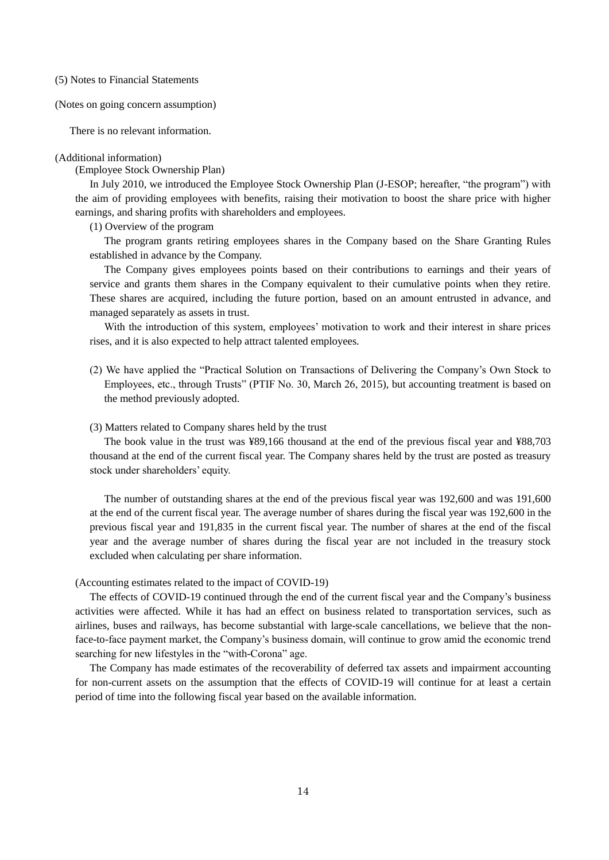<span id="page-15-0"></span>(5) Notes to Financial Statements

<span id="page-15-1"></span>(Notes on going concern assumption)

There is no relevant information.

#### <span id="page-15-2"></span>(Additional information)

(Employee Stock Ownership Plan)

In July 2010, we introduced the Employee Stock Ownership Plan (J-ESOP; hereafter, "the program") with the aim of providing employees with benefits, raising their motivation to boost the share price with higher earnings, and sharing profits with shareholders and employees.

(1) Overview of the program

The program grants retiring employees shares in the Company based on the Share Granting Rules established in advance by the Company.

The Company gives employees points based on their contributions to earnings and their years of service and grants them shares in the Company equivalent to their cumulative points when they retire. These shares are acquired, including the future portion, based on an amount entrusted in advance, and managed separately as assets in trust.

With the introduction of this system, employees' motivation to work and their interest in share prices rises, and it is also expected to help attract talented employees.

(2) We have applied the "Practical Solution on Transactions of Delivering the Company's Own Stock to Employees, etc., through Trusts" (PTIF No. 30, March 26, 2015), but accounting treatment is based on the method previously adopted.

#### (3) Matters related to Company shares held by the trust

The book value in the trust was ¥89,166 thousand at the end of the previous fiscal year and ¥88,703 thousand at the end of the current fiscal year. The Company shares held by the trust are posted as treasury stock under shareholders' equity.

The number of outstanding shares at the end of the previous fiscal year was 192,600 and was 191,600 at the end of the current fiscal year. The average number of shares during the fiscal year was 192,600 in the previous fiscal year and 191,835 in the current fiscal year. The number of shares at the end of the fiscal year and the average number of shares during the fiscal year are not included in the treasury stock excluded when calculating per share information.

## (Accounting estimates related to the impact of COVID-19)

The effects of COVID-19 continued through the end of the current fiscal year and the Company's business activities were affected. While it has had an effect on business related to transportation services, such as airlines, buses and railways, has become substantial with large-scale cancellations, we believe that the nonface-to-face payment market, the Company's business domain, will continue to grow amid the economic trend searching for new lifestyles in the "with-Corona" age.

The Company has made estimates of the recoverability of deferred tax assets and impairment accounting for non-current assets on the assumption that the effects of COVID-19 will continue for at least a certain period of time into the following fiscal year based on the available information.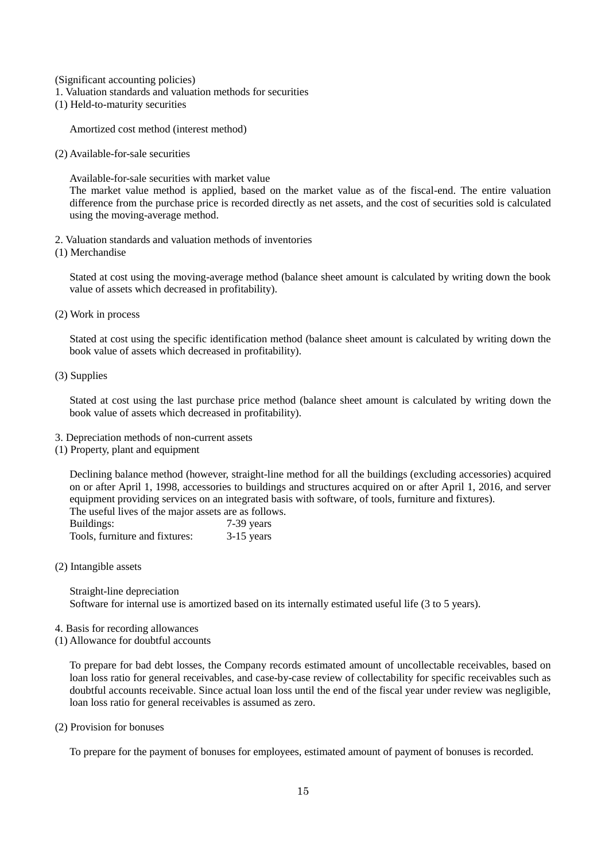<span id="page-16-0"></span>(Significant accounting policies)

- 1. Valuation standards and valuation methods for securities
- (1) Held-to-maturity securities

Amortized cost method (interest method)

(2) Available-for-sale securities

Available-for-sale securities with market value

The market value method is applied, based on the market value as of the fiscal-end. The entire valuation difference from the purchase price is recorded directly as net assets, and the cost of securities sold is calculated using the moving-average method.

- 2. Valuation standards and valuation methods of inventories
- (1) Merchandise

Stated at cost using the moving-average method (balance sheet amount is calculated by writing down the book value of assets which decreased in profitability).

(2) Work in process

Stated at cost using the specific identification method (balance sheet amount is calculated by writing down the book value of assets which decreased in profitability).

(3) Supplies

Stated at cost using the last purchase price method (balance sheet amount is calculated by writing down the book value of assets which decreased in profitability).

- 3. Depreciation methods of non-current assets
- (1) Property, plant and equipment

Declining balance method (however, straight-line method for all the buildings (excluding accessories) acquired on or after April 1, 1998, accessories to buildings and structures acquired on or after April 1, 2016, and server equipment providing services on an integrated basis with software, of tools, furniture and fixtures). The useful lives of the major assets are as follows.

| Buildings:                     | 7-39 years   |
|--------------------------------|--------------|
| Tools, furniture and fixtures: | $3-15$ years |

(2) Intangible assets

Straight-line depreciation Software for internal use is amortized based on its internally estimated useful life (3 to 5 years).

- 4. Basis for recording allowances
- (1) Allowance for doubtful accounts

To prepare for bad debt losses, the Company records estimated amount of uncollectable receivables, based on loan loss ratio for general receivables, and case-by-case review of collectability for specific receivables such as doubtful accounts receivable. Since actual loan loss until the end of the fiscal year under review was negligible, loan loss ratio for general receivables is assumed as zero.

(2) Provision for bonuses

To prepare for the payment of bonuses for employees, estimated amount of payment of bonuses is recorded.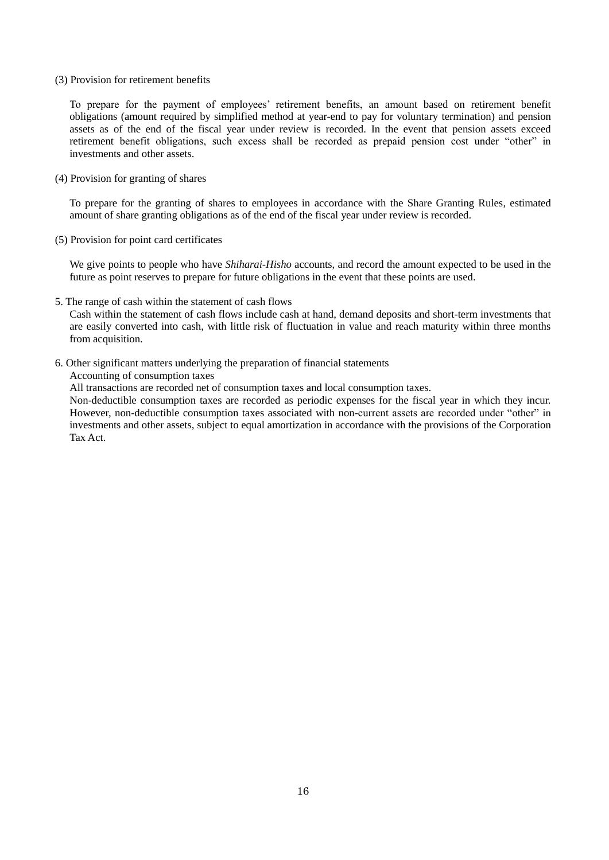#### (3) Provision for retirement benefits

To prepare for the payment of employees' retirement benefits, an amount based on retirement benefit obligations (amount required by simplified method at year-end to pay for voluntary termination) and pension assets as of the end of the fiscal year under review is recorded. In the event that pension assets exceed retirement benefit obligations, such excess shall be recorded as prepaid pension cost under "other" in investments and other assets.

# (4) Provision for granting of shares

To prepare for the granting of shares to employees in accordance with the Share Granting Rules, estimated amount of share granting obligations as of the end of the fiscal year under review is recorded.

(5) Provision for point card certificates

We give points to people who have *Shiharai-Hisho* accounts, and record the amount expected to be used in the future as point reserves to prepare for future obligations in the event that these points are used.

5. The range of cash within the statement of cash flows

Cash within the statement of cash flows include cash at hand, demand deposits and short-term investments that are easily converted into cash, with little risk of fluctuation in value and reach maturity within three months from acquisition.

6. Other significant matters underlying the preparation of financial statements

Accounting of consumption taxes

All transactions are recorded net of consumption taxes and local consumption taxes.

Non-deductible consumption taxes are recorded as periodic expenses for the fiscal year in which they incur. However, non-deductible consumption taxes associated with non-current assets are recorded under "other" in investments and other assets, subject to equal amortization in accordance with the provisions of the Corporation Tax Act.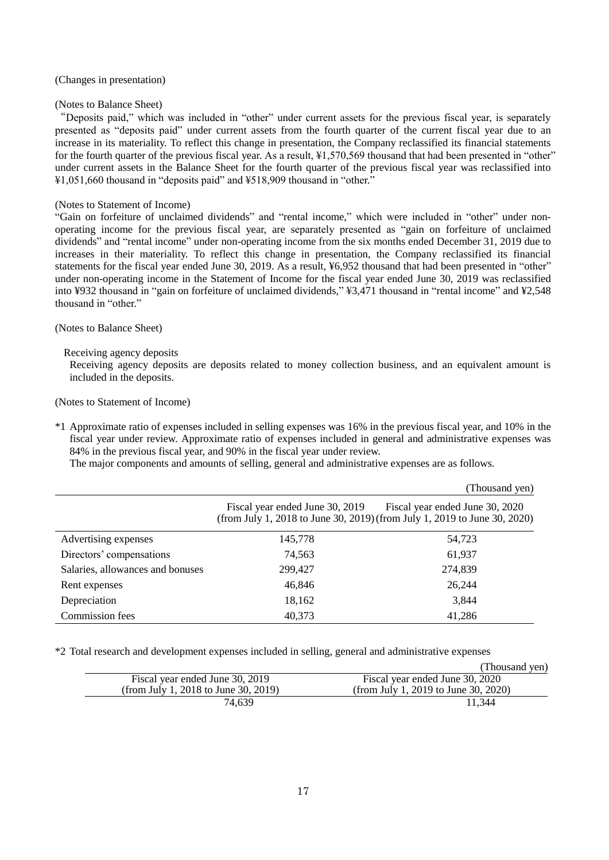#### <span id="page-18-0"></span>(Changes in presentation)

#### (Notes to Balance Sheet)

"Deposits paid," which was included in "other" under current assets for the previous fiscal year, is separately presented as "deposits paid" under current assets from the fourth quarter of the current fiscal year due to an increase in its materiality. To reflect this change in presentation, the Company reclassified its financial statements for the fourth quarter of the previous fiscal year. As a result, ¥1,570,569 thousand that had been presented in "other" under current assets in the Balance Sheet for the fourth quarter of the previous fiscal year was reclassified into ¥1,051,660 thousand in "deposits paid" and ¥518,909 thousand in "other."

#### (Notes to Statement of Income)

"Gain on forfeiture of unclaimed dividends" and "rental income," which were included in "other" under nonoperating income for the previous fiscal year, are separately presented as "gain on forfeiture of unclaimed dividends" and "rental income" under non-operating income from the six months ended December 31, 2019 due to increases in their materiality. To reflect this change in presentation, the Company reclassified its financial statements for the fiscal year ended June 30, 2019. As a result, ¥6,952 thousand that had been presented in "other" under non-operating income in the Statement of Income for the fiscal year ended June 30, 2019 was reclassified into ¥932 thousand in "gain on forfeiture of unclaimed dividends," ¥3,471 thousand in "rental income" and ¥2,548 thousand in "other."

## <span id="page-18-1"></span>(Notes to Balance Sheet)

# Receiving agency deposits

Receiving agency deposits are deposits related to money collection business, and an equivalent amount is included in the deposits.

<span id="page-18-2"></span>(Notes to Statement of Income)

\*1 Approximate ratio of expenses included in selling expenses was 16% in the previous fiscal year, and 10% in the fiscal year under review. Approximate ratio of expenses included in general and administrative expenses was 84% in the previous fiscal year, and 90% in the fiscal year under review.

The major components and amounts of selling, general and administrative expenses are as follows.

|                                  |                                 | (Thousand yen)                                                                                               |
|----------------------------------|---------------------------------|--------------------------------------------------------------------------------------------------------------|
|                                  | Fiscal year ended June 30, 2019 | Fiscal year ended June 30, 2020<br>(from July 1, 2018 to June 30, 2019) (from July 1, 2019 to June 30, 2020) |
| Advertising expenses             | 145,778                         | 54,723                                                                                                       |
| Directors' compensations         | 74,563                          | 61,937                                                                                                       |
| Salaries, allowances and bonuses | 299,427                         | 274,839                                                                                                      |
| Rent expenses                    | 46,846                          | 26.244                                                                                                       |
| Depreciation                     | 18,162                          | 3,844                                                                                                        |
| <b>Commission</b> fees           | 40,373                          | 41,286                                                                                                       |

\*2 Total research and development expenses included in selling, general and administrative expenses

|                                      | (Thousand yen)                       |
|--------------------------------------|--------------------------------------|
| Fiscal year ended June 30, 2019      | Fiscal year ended June 30, 2020      |
| (from July 1, 2018 to June 30, 2019) | (from July 1, 2019 to June 30, 2020) |
| 74.639                               | 11.344                               |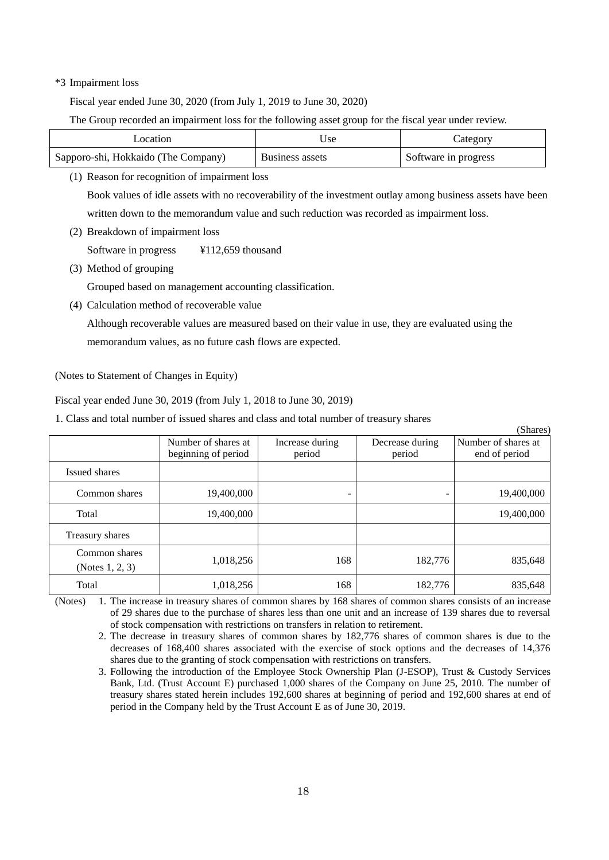# \*3 Impairment loss

Fiscal year ended June 30, 2020 (from July 1, 2019 to June 30, 2020)

The Group recorded an impairment loss for the following asset group for the fiscal year under review.

| .ocation                            | Jse                    | Category             |
|-------------------------------------|------------------------|----------------------|
| Sapporo-shi, Hokkaido (The Company) | <b>Business assets</b> | Software in progress |

(1) Reason for recognition of impairment loss

Book values of idle assets with no recoverability of the investment outlay among business assets have been written down to the memorandum value and such reduction was recorded as impairment loss.

(2) Breakdown of impairment loss

Software in progress ¥112,659 thousand

(3) Method of grouping

Grouped based on management accounting classification.

(4) Calculation method of recoverable value

Although recoverable values are measured based on their value in use, they are evaluated using the memorandum values, as no future cash flows are expected.

<span id="page-19-0"></span>(Notes to Statement of Changes in Equity)

Fiscal year ended June 30, 2019 (from July 1, 2018 to June 30, 2019)

1. Class and total number of issued shares and class and total number of treasury shares

|                                     |                                            |                           |                           | (Shares)                             |
|-------------------------------------|--------------------------------------------|---------------------------|---------------------------|--------------------------------------|
|                                     | Number of shares at<br>beginning of period | Increase during<br>period | Decrease during<br>period | Number of shares at<br>end of period |
| Issued shares                       |                                            |                           |                           |                                      |
| Common shares                       | 19,400,000                                 | ۰                         | ۰                         | 19,400,000                           |
| Total                               | 19,400,000                                 |                           |                           | 19,400,000                           |
| Treasury shares                     |                                            |                           |                           |                                      |
| Common shares<br>(Notes $1, 2, 3$ ) | 1,018,256                                  | 168                       | 182,776                   | 835,648                              |
| Total                               | 1,018,256                                  | 168                       | 182,776                   | 835,648                              |

 $\sqrt{S}$ 

(Notes) 1. The increase in treasury shares of common shares by 168 shares of common shares consists of an increase of 29 shares due to the purchase of shares less than one unit and an increase of 139 shares due to reversal of stock compensation with restrictions on transfers in relation to retirement.

2. The decrease in treasury shares of common shares by 182,776 shares of common shares is due to the decreases of 168,400 shares associated with the exercise of stock options and the decreases of 14,376 shares due to the granting of stock compensation with restrictions on transfers.

3. Following the introduction of the Employee Stock Ownership Plan (J-ESOP), Trust & Custody Services Bank, Ltd. (Trust Account E) purchased 1,000 shares of the Company on June 25, 2010. The number of treasury shares stated herein includes 192,600 shares at beginning of period and 192,600 shares at end of period in the Company held by the Trust Account E as of June 30, 2019.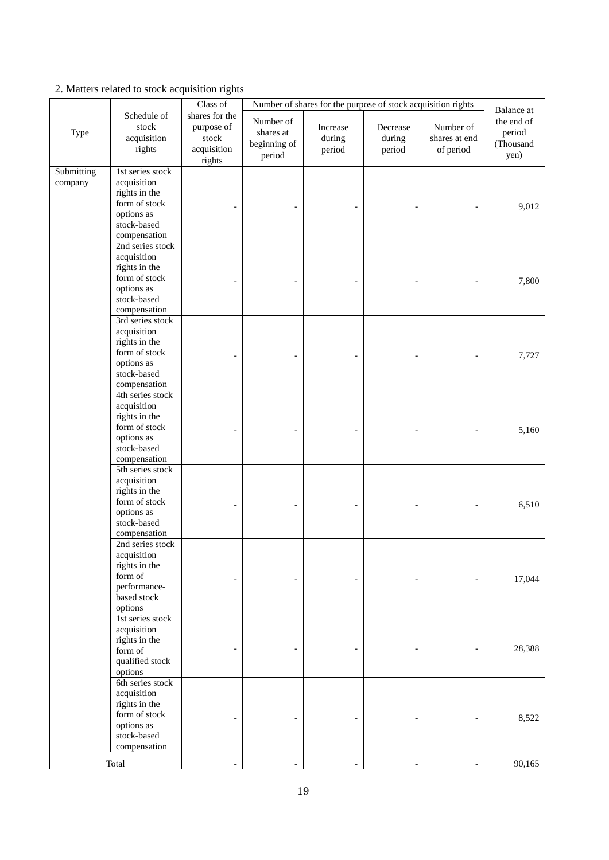|                       |                                                                                                                | Class of                                                       | Number of shares for the purpose of stock acquisition rights |                              |                              |                                         |                                                         |
|-----------------------|----------------------------------------------------------------------------------------------------------------|----------------------------------------------------------------|--------------------------------------------------------------|------------------------------|------------------------------|-----------------------------------------|---------------------------------------------------------|
| Type                  | Schedule of<br>stock<br>acquisition<br>rights                                                                  | shares for the<br>purpose of<br>stock<br>acquisition<br>rights | Number of<br>shares at<br>beginning of<br>period             | Increase<br>during<br>period | Decrease<br>during<br>period | Number of<br>shares at end<br>of period | Balance at<br>the end of<br>period<br>(Thousand<br>yen) |
| Submitting<br>company | 1st series stock<br>acquisition<br>rights in the<br>form of stock<br>options as<br>stock-based<br>compensation |                                                                |                                                              |                              |                              |                                         | 9,012                                                   |
|                       | 2nd series stock<br>acquisition<br>rights in the<br>form of stock<br>options as<br>stock-based<br>compensation |                                                                |                                                              |                              |                              |                                         | 7,800                                                   |
|                       | 3rd series stock<br>acquisition<br>rights in the<br>form of stock<br>options as<br>stock-based<br>compensation |                                                                |                                                              |                              |                              |                                         | 7,727                                                   |
|                       | 4th series stock<br>acquisition<br>rights in the<br>form of stock<br>options as<br>stock-based<br>compensation |                                                                |                                                              |                              |                              |                                         | 5,160                                                   |
|                       | 5th series stock<br>acquisition<br>rights in the<br>form of stock<br>options as<br>stock-based<br>compensation |                                                                |                                                              |                              |                              |                                         | 6,510                                                   |
|                       | 2nd series stock<br>acquisition<br>rights in the<br>form of<br>performance-<br>based stock<br>options          |                                                                |                                                              |                              |                              |                                         | 17,044                                                  |
|                       | 1st series stock<br>acquisition<br>rights in the<br>form of<br>qualified stock<br>options                      |                                                                |                                                              |                              |                              |                                         | 28,388                                                  |
|                       | 6th series stock<br>acquisition<br>rights in the<br>form of stock<br>options as<br>stock-based<br>compensation |                                                                |                                                              |                              |                              |                                         | 8,522                                                   |
|                       | Total                                                                                                          |                                                                |                                                              |                              |                              |                                         | 90,165                                                  |

2. Matters related to stock acquisition rights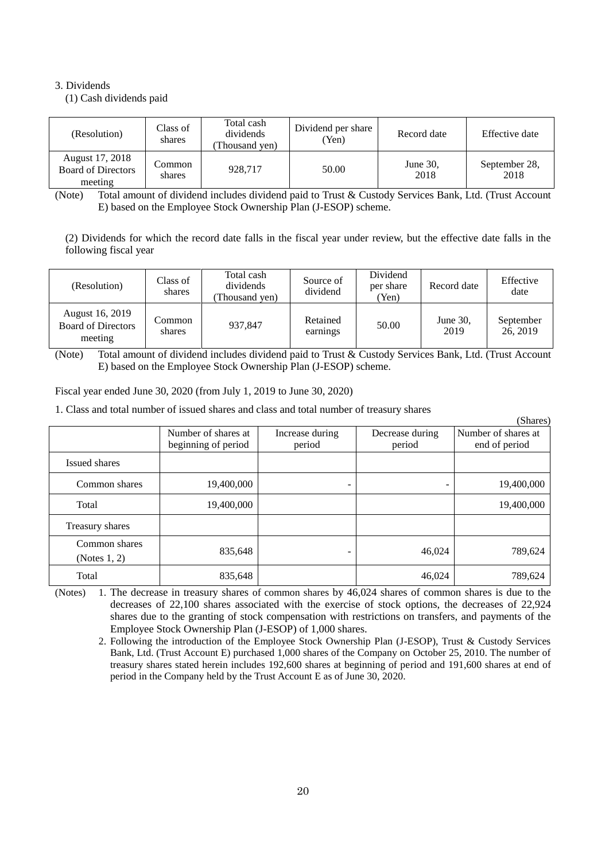# 3. Dividends

(1) Cash dividends paid

| (Resolution)                                            | Class of<br>shares | Total cash<br>dividends<br>Thousand yen) | Dividend per share<br>(Yen) | Record date         | Effective date        |
|---------------------------------------------------------|--------------------|------------------------------------------|-----------------------------|---------------------|-----------------------|
| August 17, 2018<br><b>Board of Directors</b><br>meeting | Common<br>shares   | 928,717                                  | 50.00                       | June $30$ .<br>2018 | September 28,<br>2018 |

(Note) Total amount of dividend includes dividend paid to Trust & Custody Services Bank, Ltd. (Trust Account E) based on the Employee Stock Ownership Plan (J-ESOP) scheme.

(2) Dividends for which the record date falls in the fiscal year under review, but the effective date falls in the following fiscal year

| (Resolution)                                            | Class of<br>shares | Total cash<br>dividends<br>Thousand yen) | Source of<br>dividend | Dividend<br>per share<br>'Yen) | Record date      | Effective<br>date     |
|---------------------------------------------------------|--------------------|------------------------------------------|-----------------------|--------------------------------|------------------|-----------------------|
| August 16, 2019<br><b>Board of Directors</b><br>meeting | Common<br>shares   | 937.847                                  | Retained<br>earnings  | 50.00                          | June 30,<br>2019 | September<br>26, 2019 |

(Note) Total amount of dividend includes dividend paid to Trust & Custody Services Bank, Ltd. (Trust Account E) based on the Employee Stock Ownership Plan (J-ESOP) scheme.

Fiscal year ended June 30, 2020 (from July 1, 2019 to June 30, 2020)

1. Class and total number of issued shares and class and total number of treasury shares

(Shares) Number of shares at beginning of period Increase during period Decrease during period Number of shares at end of period Issued shares Common shares 19,400,000 - 19,400,000 - 19,400,000 - 19,400,000 Total 19,400,000 19,400,000 19,400,000 19,400,000 19,400,000 19,400,000 19,400,000 19,400,000 19,400,000 19,40 Treasury shares Common shares (Notes 1, 2) 835,648 - 46,024 789,624 Total 16,024 789,624 789,624

(Notes) 1. The decrease in treasury shares of common shares by 46,024 shares of common shares is due to the decreases of 22,100 shares associated with the exercise of stock options, the decreases of 22,924 shares due to the granting of stock compensation with restrictions on transfers, and payments of the Employee Stock Ownership Plan (J-ESOP) of 1,000 shares.

2. Following the introduction of the Employee Stock Ownership Plan (J-ESOP), Trust & Custody Services Bank, Ltd. (Trust Account E) purchased 1,000 shares of the Company on October 25, 2010. The number of treasury shares stated herein includes 192,600 shares at beginning of period and 191,600 shares at end of period in the Company held by the Trust Account E as of June 30, 2020.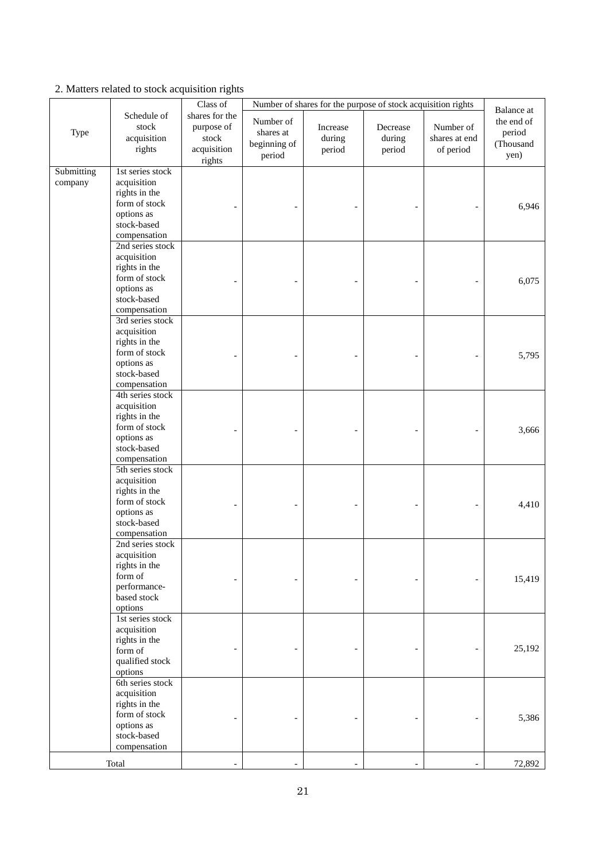|                       |                                                                                                                | Class of                                                       | Number of shares for the purpose of stock acquisition rights |                              |                              |                                         |                                                         |
|-----------------------|----------------------------------------------------------------------------------------------------------------|----------------------------------------------------------------|--------------------------------------------------------------|------------------------------|------------------------------|-----------------------------------------|---------------------------------------------------------|
| Type                  | Schedule of<br>stock<br>acquisition<br>rights                                                                  | shares for the<br>purpose of<br>stock<br>acquisition<br>rights | Number of<br>shares at<br>beginning of<br>period             | Increase<br>during<br>period | Decrease<br>during<br>period | Number of<br>shares at end<br>of period | Balance at<br>the end of<br>period<br>(Thousand<br>yen) |
| Submitting<br>company | 1st series stock<br>acquisition<br>rights in the<br>form of stock<br>options as<br>stock-based<br>compensation |                                                                |                                                              |                              |                              |                                         | 6,946                                                   |
|                       | 2nd series stock<br>acquisition<br>rights in the<br>form of stock<br>options as<br>stock-based<br>compensation |                                                                |                                                              |                              |                              |                                         | 6,075                                                   |
|                       | 3rd series stock<br>acquisition<br>rights in the<br>form of stock<br>options as<br>stock-based<br>compensation |                                                                |                                                              |                              |                              |                                         | 5,795                                                   |
|                       | 4th series stock<br>acquisition<br>rights in the<br>form of stock<br>options as<br>stock-based<br>compensation |                                                                |                                                              |                              |                              |                                         | 3,666                                                   |
|                       | 5th series stock<br>acquisition<br>rights in the<br>form of stock<br>options as<br>stock-based<br>compensation |                                                                |                                                              |                              |                              |                                         | 4,410                                                   |
|                       | 2nd series stock<br>acquisition<br>rights in the<br>form of<br>performance-<br>based stock<br>options          |                                                                |                                                              |                              |                              |                                         | 15,419                                                  |
|                       | 1st series stock<br>acquisition<br>rights in the<br>form of<br>qualified stock<br>options                      |                                                                |                                                              |                              |                              |                                         | 25,192                                                  |
|                       | 6th series stock<br>acquisition<br>rights in the<br>form of stock<br>options as<br>stock-based<br>compensation |                                                                |                                                              |                              |                              |                                         | 5,386                                                   |
|                       | Total                                                                                                          |                                                                |                                                              |                              |                              |                                         | 72,892                                                  |

2. Matters related to stock acquisition rights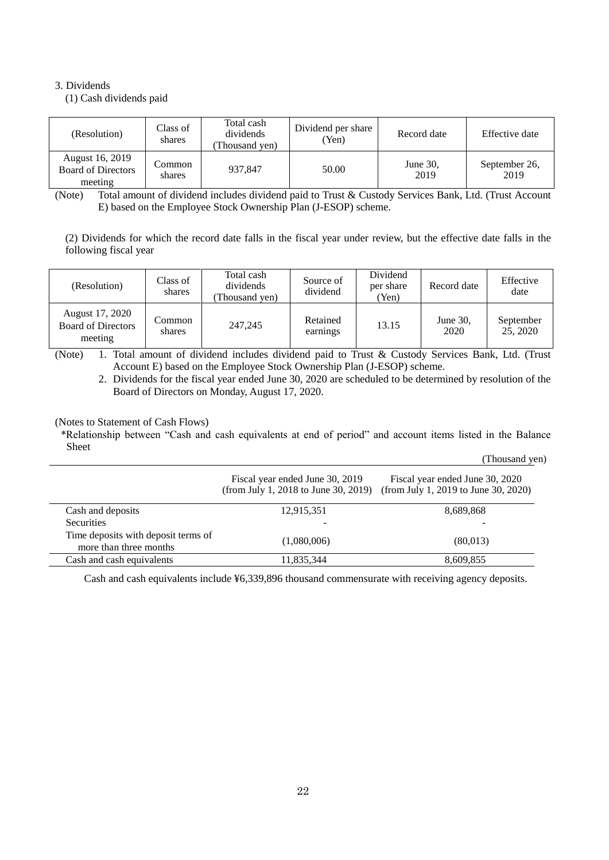# 3. Dividends

(1) Cash dividends paid

| (Resolution)                                            | Class of<br>shares | Total cash<br>dividends<br>Thousand yen) | Dividend per share<br>Yen) | Record date         | Effective date        |
|---------------------------------------------------------|--------------------|------------------------------------------|----------------------------|---------------------|-----------------------|
| August 16, 2019<br><b>Board of Directors</b><br>meeting | Common_<br>shares  | 937,847                                  | 50.00                      | June $30$ .<br>2019 | September 26,<br>2019 |

(Note) Total amount of dividend includes dividend paid to Trust & Custody Services Bank, Ltd. (Trust Account E) based on the Employee Stock Ownership Plan (J-ESOP) scheme.

(2) Dividends for which the record date falls in the fiscal year under review, but the effective date falls in the following fiscal year

| (Resolution)                                            | Class of<br>shares | Total cash<br>dividends<br>Thousand yen) | Source of<br>dividend | Dividend<br>per share<br>(Yen) | Record date      | Effective<br>date     |
|---------------------------------------------------------|--------------------|------------------------------------------|-----------------------|--------------------------------|------------------|-----------------------|
| August 17, 2020<br><b>Board of Directors</b><br>meeting | Common<br>shares   | 247,245                                  | Retained<br>earnings  | 13.15                          | June 30.<br>2020 | September<br>25, 2020 |

(Note) 1. Total amount of dividend includes dividend paid to Trust & Custody Services Bank, Ltd. (Trust Account E) based on the Employee Stock Ownership Plan (J-ESOP) scheme.

2. Dividends for the fiscal year ended June 30, 2020 are scheduled to be determined by resolution of the Board of Directors on Monday, August 17, 2020.

<span id="page-23-0"></span>(Notes to Statement of Cash Flows)

\*Relationship between "Cash and cash equivalents at end of period" and account items listed in the Balance Sheet

|                                                               |                                                                         | (Thousand yen)                                                          |
|---------------------------------------------------------------|-------------------------------------------------------------------------|-------------------------------------------------------------------------|
|                                                               | Fiscal year ended June 30, 2019<br>(from July 1, 2018 to June 30, 2019) | Fiscal year ended June 30, 2020<br>(from July 1, 2019 to June 30, 2020) |
| Cash and deposits                                             | 12,915,351                                                              | 8,689,868                                                               |
| <b>Securities</b>                                             |                                                                         |                                                                         |
| Time deposits with deposit terms of<br>more than three months | (1,080,006)                                                             | (80,013)                                                                |
| Cash and cash equivalents                                     | 11,835,344                                                              | 8,609,855                                                               |

Cash and cash equivalents include ¥6,339,896 thousand commensurate with receiving agency deposits.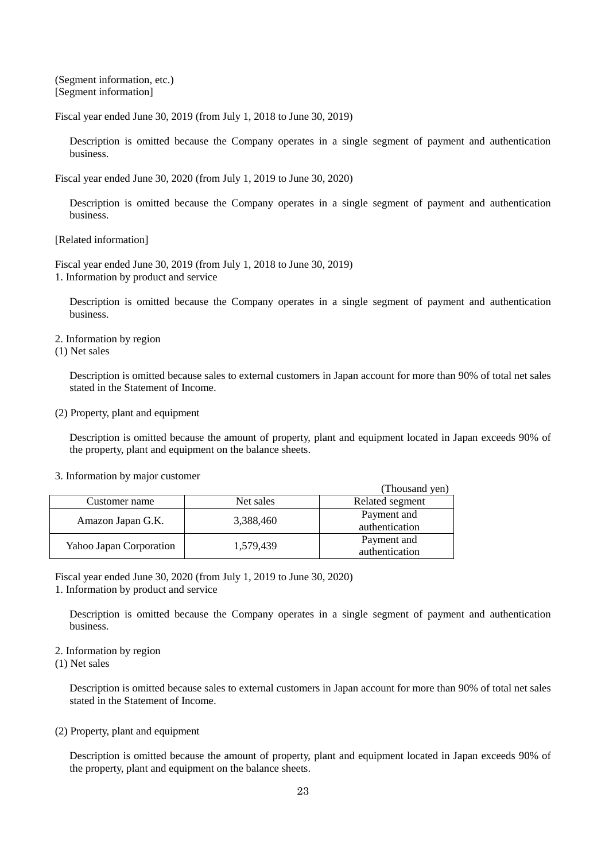<span id="page-24-0"></span>(Segment information, etc.) [Segment information]

Fiscal year ended June 30, 2019 (from July 1, 2018 to June 30, 2019)

Description is omitted because the Company operates in a single segment of payment and authentication business.

Fiscal year ended June 30, 2020 (from July 1, 2019 to June 30, 2020)

Description is omitted because the Company operates in a single segment of payment and authentication business.

[Related information]

Fiscal year ended June 30, 2019 (from July 1, 2018 to June 30, 2019) 1. Information by product and service

Description is omitted because the Company operates in a single segment of payment and authentication business.

2. Information by region

(1) Net sales

Description is omitted because sales to external customers in Japan account for more than 90% of total net sales stated in the Statement of Income.

# (2) Property, plant and equipment

Description is omitted because the amount of property, plant and equipment located in Japan exceeds 90% of the property, plant and equipment on the balance sheets.

|  |  | 3. Information by major customer |
|--|--|----------------------------------|
|  |  |                                  |

|                         |           | (Thousand yen)                |
|-------------------------|-----------|-------------------------------|
| Customer name           | Net sales | Related segment               |
| Amazon Japan G.K.       | 3,388,460 | Payment and<br>authentication |
| Yahoo Japan Corporation | 1,579,439 | Payment and<br>authentication |

Fiscal year ended June 30, 2020 (from July 1, 2019 to June 30, 2020)

1. Information by product and service

Description is omitted because the Company operates in a single segment of payment and authentication business.

2. Information by region

(1) Net sales

Description is omitted because sales to external customers in Japan account for more than 90% of total net sales stated in the Statement of Income.

# (2) Property, plant and equipment

Description is omitted because the amount of property, plant and equipment located in Japan exceeds 90% of the property, plant and equipment on the balance sheets.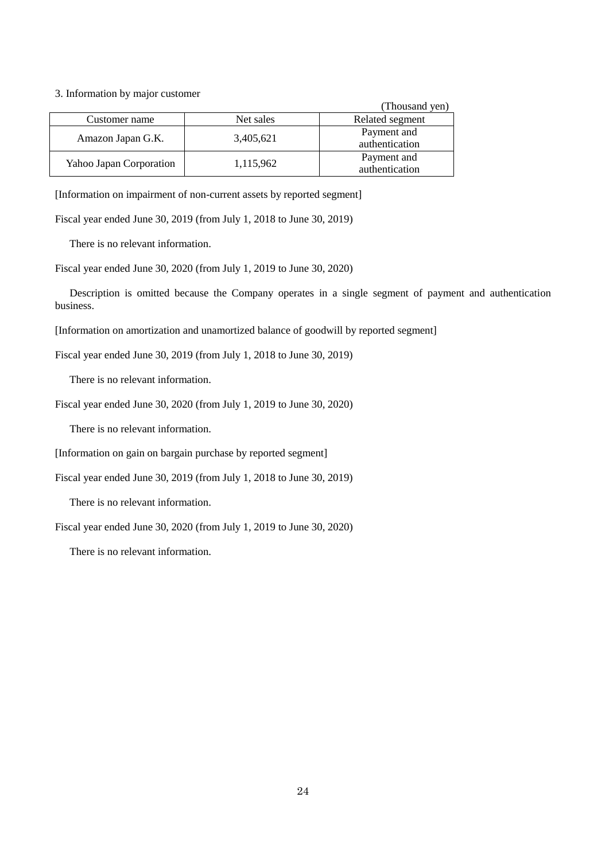## 3. Information by major customer

|                         |           | (Thousand yen)                |
|-------------------------|-----------|-------------------------------|
| Customer name           | Net sales | Related segment               |
| Amazon Japan G.K.       | 3,405,621 | Payment and<br>authentication |
| Yahoo Japan Corporation | 1,115,962 | Payment and<br>authentication |

[Information on impairment of non-current assets by reported segment]

Fiscal year ended June 30, 2019 (from July 1, 2018 to June 30, 2019)

There is no relevant information.

Fiscal year ended June 30, 2020 (from July 1, 2019 to June 30, 2020)

Description is omitted because the Company operates in a single segment of payment and authentication business.

[Information on amortization and unamortized balance of goodwill by reported segment]

Fiscal year ended June 30, 2019 (from July 1, 2018 to June 30, 2019)

There is no relevant information.

Fiscal year ended June 30, 2020 (from July 1, 2019 to June 30, 2020)

There is no relevant information.

[Information on gain on bargain purchase by reported segment]

Fiscal year ended June 30, 2019 (from July 1, 2018 to June 30, 2019)

There is no relevant information.

Fiscal year ended June 30, 2020 (from July 1, 2019 to June 30, 2020)

There is no relevant information.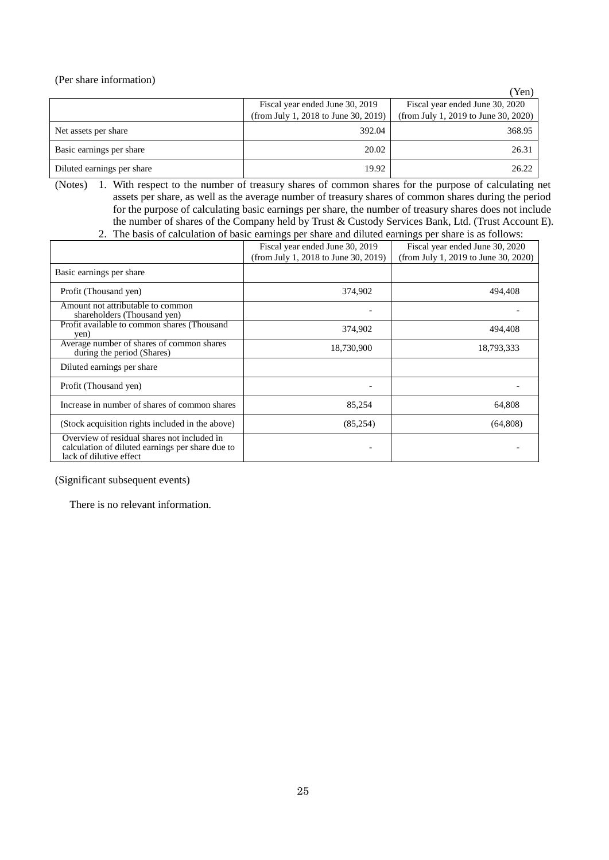<span id="page-26-0"></span>(Per share information)

|                            |                                      | 'Yen)                                |
|----------------------------|--------------------------------------|--------------------------------------|
|                            | Fiscal year ended June 30, 2019      | Fiscal year ended June 30, 2020      |
|                            | (from July 1, 2018 to June 30, 2019) | (from July 1, 2019 to June 30, 2020) |
| Net assets per share       | 392.04                               | 368.95                               |
| Basic earnings per share   | 20.02                                | 26.31                                |
| Diluted earnings per share | 19.92                                | 26.22                                |

(Notes) 1. With respect to the number of treasury shares of common shares for the purpose of calculating net assets per share, as well as the average number of treasury shares of common shares during the period for the purpose of calculating basic earnings per share, the number of treasury shares does not include the number of shares of the Company held by Trust & Custody Services Bank, Ltd. (Trust Account E). 2. The basis of calculation of basic earnings per share and diluted earnings per share is as follows:

|                                                                                                                            | Fiscal year ended June 30, 2019<br>(from July 1, 2018 to June 30, 2019) | Fiscal year ended June 30, 2020<br>(from July 1, 2019 to June 30, 2020) |
|----------------------------------------------------------------------------------------------------------------------------|-------------------------------------------------------------------------|-------------------------------------------------------------------------|
| Basic earnings per share                                                                                                   |                                                                         |                                                                         |
| Profit (Thousand yen)                                                                                                      | 374,902                                                                 | 494,408                                                                 |
| Amount not attributable to common<br>shareholders (Thousand yen)                                                           |                                                                         |                                                                         |
| Profit available to common shares (Thousand<br>yen)                                                                        | 374,902                                                                 | 494,408                                                                 |
| Average number of shares of common shares<br>during the period (Shares)                                                    | 18,730,900                                                              | 18,793,333                                                              |
| Diluted earnings per share                                                                                                 |                                                                         |                                                                         |
| Profit (Thousand yen)                                                                                                      |                                                                         |                                                                         |
| Increase in number of shares of common shares                                                                              | 85,254                                                                  | 64,808                                                                  |
| (Stock acquisition rights included in the above)                                                                           | (85,254)                                                                | (64,808)                                                                |
| Overview of residual shares not included in<br>calculation of diluted earnings per share due to<br>lack of dilutive effect |                                                                         |                                                                         |

# <span id="page-26-1"></span>(Significant subsequent events)

There is no relevant information.